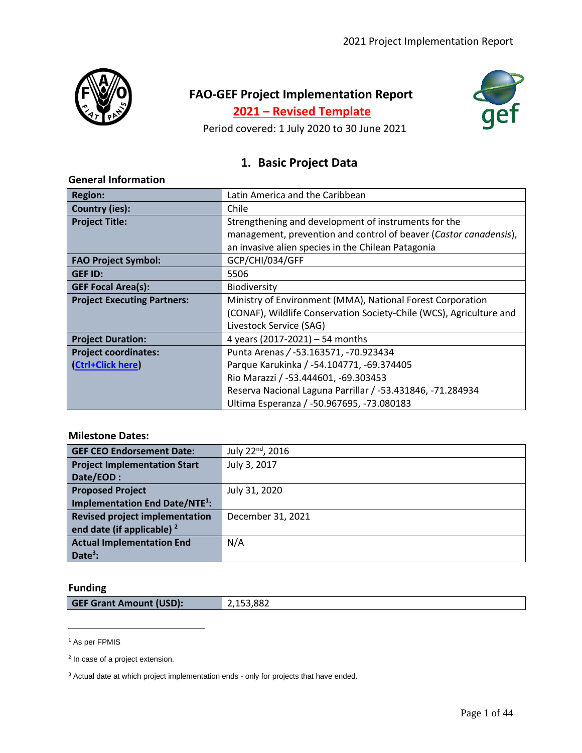

# **FAO-GEF Project Implementation Report**

**2021 – Revised Template**



Period covered: 1 July 2020 to 30 June 2021

# **1. Basic Project Data**

| <b>Region:</b>                     | Latin America and the Caribbean                                     |
|------------------------------------|---------------------------------------------------------------------|
| <b>Country (ies):</b>              | Chile                                                               |
| <b>Project Title:</b>              | Strengthening and development of instruments for the                |
|                                    | management, prevention and control of beaver (Castor canadensis),   |
|                                    | an invasive alien species in the Chilean Patagonia                  |
| <b>FAO Project Symbol:</b>         | GCP/CHI/034/GFF                                                     |
| <b>GEF ID:</b>                     | 5506                                                                |
| <b>GEF Focal Area(s):</b>          | <b>Biodiversity</b>                                                 |
| <b>Project Executing Partners:</b> | Ministry of Environment (MMA), National Forest Corporation          |
|                                    | (CONAF), Wildlife Conservation Society-Chile (WCS), Agriculture and |
|                                    | Livestock Service (SAG)                                             |
| <b>Project Duration:</b>           | 4 years (2017-2021) - 54 months                                     |
| <b>Project coordinates:</b>        | Punta Arenas / -53.163571, -70.923434                               |
| (Ctrl+Click here)                  | Parque Karukinka / -54.104771, -69.374405                           |
|                                    | Rio Marazzi / -53.444601, -69.303453                                |
|                                    | Reserva Nacional Laguna Parrillar / -53.431846, -71.284934          |
|                                    | Ultima Esperanza / -50.967695, -73.080183                           |

### **General Information**

## **Milestone Dates:**

| <b>GEF CEO Endorsement Date:</b>                | July 22 <sup>nd</sup> , 2016 |
|-------------------------------------------------|------------------------------|
| <b>Project Implementation Start</b>             | July 3, 2017                 |
| Date/EOD:                                       |                              |
| <b>Proposed Project</b>                         | July 31, 2020                |
| <b>Implementation End Date/NTE<sup>1</sup>:</b> |                              |
| <b>Revised project implementation</b>           | December 31, 2021            |
| end date (if applicable) $2$                    |                              |
| <b>Actual Implementation End</b>                | N/A                          |
| Date <sup>3</sup> :                             |                              |

## **Funding**

| <b>GEF Grant Amount (USD):</b><br>2,153,882 |  |
|---------------------------------------------|--|
|---------------------------------------------|--|

<sup>1</sup> As per FPMIS

<sup>&</sup>lt;sup>2</sup> In case of a project extension.

<sup>&</sup>lt;sup>3</sup> Actual date at which project implementation ends - only for projects that have ended.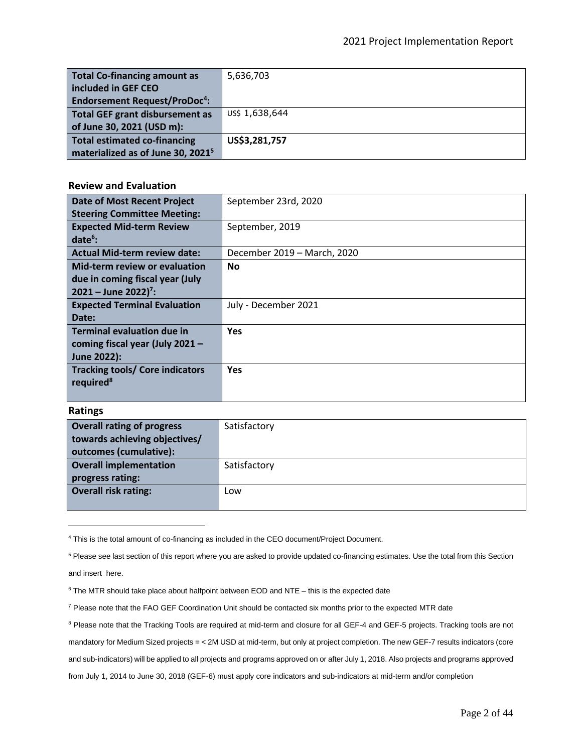| <b>Total Co-financing amount as</b>            | 5,636,703      |
|------------------------------------------------|----------------|
| included in GEF CEO                            |                |
| <b>Endorsement Request/ProDoc<sup>4</sup>:</b> |                |
| <b>Total GEF grant disbursement as</b>         | US\$ 1,638,644 |
| of June 30, 2021 (USD m):                      |                |
| <b>Total estimated co-financing</b>            | US\$3,281,757  |
| materialized as of June 30, 2021 <sup>5</sup>  |                |

### **Review and Evaluation**

| <b>Date of Most Recent Project</b>     | September 23rd, 2020        |
|----------------------------------------|-----------------------------|
| <b>Steering Committee Meeting:</b>     |                             |
| <b>Expected Mid-term Review</b>        | September, 2019             |
| $date6$ :                              |                             |
| <b>Actual Mid-term review date:</b>    | December 2019 – March, 2020 |
| Mid-term review or evaluation          | <b>No</b>                   |
| due in coming fiscal year (July        |                             |
| $2021 -$ June 2022) <sup>7</sup> :     |                             |
| <b>Expected Terminal Evaluation</b>    | July - December 2021        |
| Date:                                  |                             |
| <b>Terminal evaluation due in</b>      | <b>Yes</b>                  |
| coming fiscal year (July 2021 -        |                             |
| June 2022):                            |                             |
| <b>Tracking tools/ Core indicators</b> | <b>Yes</b>                  |
| required <sup>8</sup>                  |                             |
|                                        |                             |

### **Ratings**

| <b>Overall rating of progress</b> | Satisfactory |
|-----------------------------------|--------------|
| towards achieving objectives/     |              |
| outcomes (cumulative):            |              |
| <b>Overall implementation</b>     | Satisfactory |
| progress rating:                  |              |
| <b>Overall risk rating:</b>       | Low          |
|                                   |              |

<sup>4</sup> This is the total amount of co-financing as included in the CEO document/Project Document.

<sup>7</sup> Please note that the FAO GEF Coordination Unit should be contacted six months prior to the expected MTR date

<sup>&</sup>lt;sup>5</sup> Please see last section of this report where you are asked to provide updated co-financing estimates. Use the total from this Section and insert here.

 $6$  The MTR should take place about halfpoint between EOD and NTE – this is the expected date

<sup>&</sup>lt;sup>8</sup> Please note that the Tracking Tools are required at mid-term and closure for all GEF-4 and GEF-5 projects. Tracking tools are not mandatory for Medium Sized projects = < 2M USD at mid-term, but only at project completion. The new GEF-7 results indicators (core and sub-indicators) will be applied to all projects and programs approved on or after July 1, 2018. Also projects and programs approved from July 1, 2014 to June 30, 2018 (GEF-6) must apply core indicators and sub-indicators at mid-term and/or completion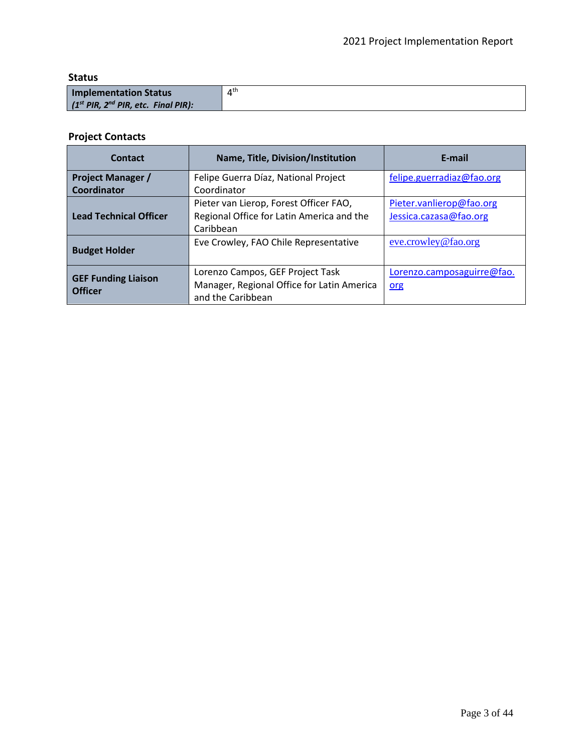**Status**

| Implementation Status                 | $4^{\text{th}}$ |
|---------------------------------------|-----------------|
| $(1st PlR, 2nd PlR, etc. Final PlR):$ |                 |

# **Project Contacts**

| Contact                                      | Name, Title, Division/Institution          | E-mail                     |
|----------------------------------------------|--------------------------------------------|----------------------------|
| <b>Project Manager /</b>                     | Felipe Guerra Díaz, National Project       | felipe.guerradiaz@fao.org  |
| Coordinator                                  | Coordinator                                |                            |
|                                              | Pieter van Lierop, Forest Officer FAO,     | Pieter.vanlierop@fao.org   |
| <b>Lead Technical Officer</b>                | Regional Office for Latin America and the  | Jessica.cazasa@fao.org     |
|                                              | Caribbean                                  |                            |
|                                              | Eve Crowley, FAO Chile Representative      | eve.crowley@fao.org        |
| <b>Budget Holder</b>                         |                                            |                            |
|                                              | Lorenzo Campos, GEF Project Task           | Lorenzo.camposaguirre@fao. |
| <b>GEF Funding Liaison</b><br><b>Officer</b> | Manager, Regional Office for Latin America | org                        |
|                                              | and the Caribbean                          |                            |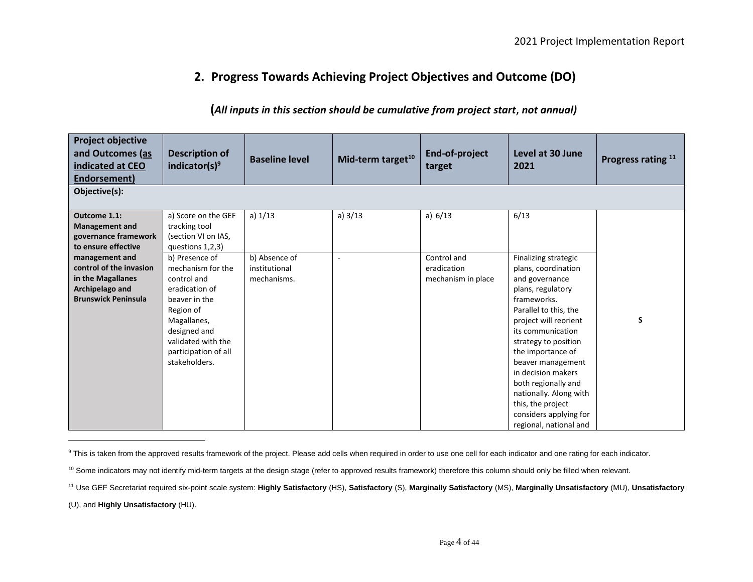# **2. Progress Towards Achieving Project Objectives and Outcome (DO)**

## **(***All inputs in this section should be cumulative from project start*, *not annual)*

| <b>Project objective</b><br>and Outcomes (as<br>indicated at CEO<br>Endorsement)                       | <b>Description of</b><br>indicator(s) <sup>9</sup>                                                                                                                             | <b>Baseline level</b>        | Mid-term target <sup>10</sup> | End-of-project<br>target          | Level at 30 June<br>2021                                                                                                                                                                                                                                                                                                                                           | Progress rating 11 |
|--------------------------------------------------------------------------------------------------------|--------------------------------------------------------------------------------------------------------------------------------------------------------------------------------|------------------------------|-------------------------------|-----------------------------------|--------------------------------------------------------------------------------------------------------------------------------------------------------------------------------------------------------------------------------------------------------------------------------------------------------------------------------------------------------------------|--------------------|
| Objective(s):                                                                                          |                                                                                                                                                                                |                              |                               |                                   |                                                                                                                                                                                                                                                                                                                                                                    |                    |
| Outcome 1.1:<br><b>Management and</b><br>governance framework<br>to ensure effective<br>management and | a) Score on the GEF<br>tracking tool<br>(section VI on IAS,<br>questions 1,2,3)<br>b) Presence of                                                                              | a) $1/13$<br>b) Absence of   | a) $3/13$                     | a) $6/13$<br>Control and          | 6/13<br>Finalizing strategic                                                                                                                                                                                                                                                                                                                                       |                    |
| control of the invasion<br>in the Magallanes<br>Archipelago and<br><b>Brunswick Peninsula</b>          | mechanism for the<br>control and<br>eradication of<br>beaver in the<br>Region of<br>Magallanes,<br>designed and<br>validated with the<br>participation of all<br>stakeholders. | institutional<br>mechanisms. |                               | eradication<br>mechanism in place | plans, coordination<br>and governance<br>plans, regulatory<br>frameworks.<br>Parallel to this, the<br>project will reorient<br>its communication<br>strategy to position<br>the importance of<br>beaver management<br>in decision makers<br>both regionally and<br>nationally. Along with<br>this, the project<br>considers applying for<br>regional, national and | S                  |

<sup>&</sup>lt;sup>9</sup> This is taken from the approved results framework of the project. Please add cells when required in order to use one cell for each indicator and one rating for each indicator.

(U), and **Highly Unsatisfactory** (HU).

<sup>&</sup>lt;sup>10</sup> Some indicators may not identify mid-term targets at the design stage (refer to approved results framework) therefore this column should only be filled when relevant.

<sup>11</sup> Use GEF Secretariat required six-point scale system: **Highly Satisfactory** (HS), **Satisfactory** (S), **Marginally Satisfactory** (MS), **Marginally Unsatisfactory** (MU), **Unsatisfactory**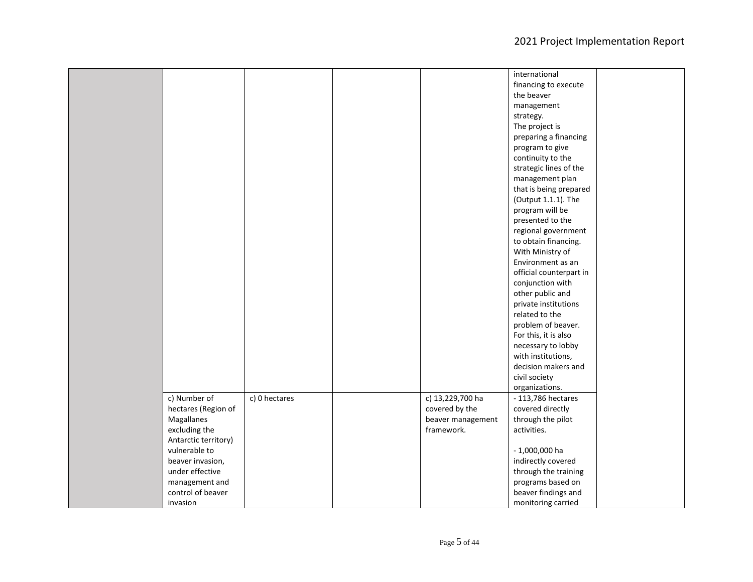|                      |               |                   | international           |  |
|----------------------|---------------|-------------------|-------------------------|--|
|                      |               |                   | financing to execute    |  |
|                      |               |                   | the beaver              |  |
|                      |               |                   | management              |  |
|                      |               |                   | strategy.               |  |
|                      |               |                   | The project is          |  |
|                      |               |                   | preparing a financing   |  |
|                      |               |                   | program to give         |  |
|                      |               |                   | continuity to the       |  |
|                      |               |                   | strategic lines of the  |  |
|                      |               |                   | management plan         |  |
|                      |               |                   | that is being prepared  |  |
|                      |               |                   | (Output 1.1.1). The     |  |
|                      |               |                   | program will be         |  |
|                      |               |                   | presented to the        |  |
|                      |               |                   | regional government     |  |
|                      |               |                   | to obtain financing.    |  |
|                      |               |                   | With Ministry of        |  |
|                      |               |                   | Environment as an       |  |
|                      |               |                   | official counterpart in |  |
|                      |               |                   | conjunction with        |  |
|                      |               |                   | other public and        |  |
|                      |               |                   | private institutions    |  |
|                      |               |                   | related to the          |  |
|                      |               |                   | problem of beaver.      |  |
|                      |               |                   | For this, it is also    |  |
|                      |               |                   | necessary to lobby      |  |
|                      |               |                   | with institutions,      |  |
|                      |               |                   | decision makers and     |  |
|                      |               |                   | civil society           |  |
|                      |               |                   | organizations.          |  |
| c) Number of         | c) 0 hectares | c) 13,229,700 ha  | - 113,786 hectares      |  |
| hectares (Region of  |               | covered by the    | covered directly        |  |
| Magallanes           |               | beaver management | through the pilot       |  |
| excluding the        |               | framework.        | activities.             |  |
| Antarctic territory) |               |                   |                         |  |
| vulnerable to        |               |                   | $-1,000,000$ ha         |  |
| beaver invasion,     |               |                   | indirectly covered      |  |
| under effective      |               |                   | through the training    |  |
| management and       |               |                   | programs based on       |  |
| control of beaver    |               |                   | beaver findings and     |  |
| invasion             |               |                   | monitoring carried      |  |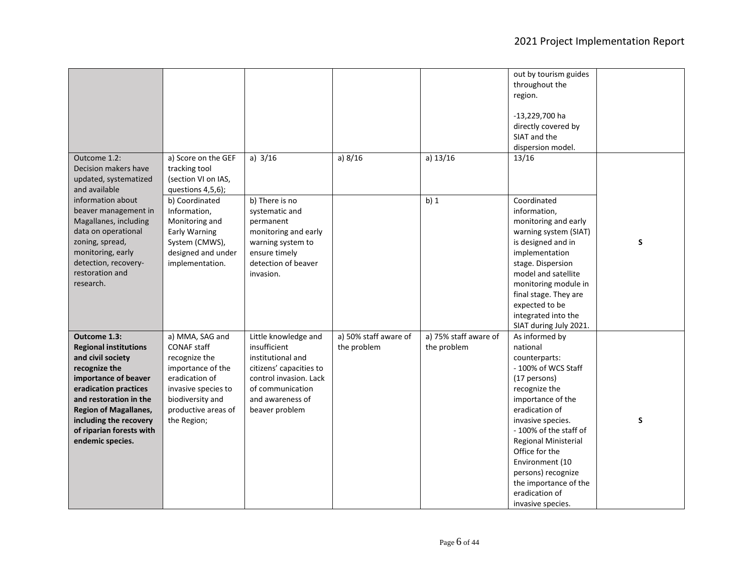|                                                                                                                                                                                                                                                                         |                                                                                                                                                                                |                                                                                                                                                                          |                                      |                                      | out by tourism guides<br>throughout the<br>region.<br>-13,229,700 ha<br>directly covered by<br>SIAT and the<br>dispersion model.                                                                                                                                                                                                             |   |
|-------------------------------------------------------------------------------------------------------------------------------------------------------------------------------------------------------------------------------------------------------------------------|--------------------------------------------------------------------------------------------------------------------------------------------------------------------------------|--------------------------------------------------------------------------------------------------------------------------------------------------------------------------|--------------------------------------|--------------------------------------|----------------------------------------------------------------------------------------------------------------------------------------------------------------------------------------------------------------------------------------------------------------------------------------------------------------------------------------------|---|
| Outcome 1.2:<br>Decision makers have<br>updated, systematized<br>and available<br>information about                                                                                                                                                                     | a) Score on the GEF<br>tracking tool<br>(section VI on IAS,<br>questions 4,5,6);<br>b) Coordinated                                                                             | a) $3/16$<br>b) There is no                                                                                                                                              | a) $8/16$                            | a) $13/16$<br>$b)$ 1                 | 13/16<br>Coordinated                                                                                                                                                                                                                                                                                                                         |   |
| beaver management in<br>Magallanes, including<br>data on operational<br>zoning, spread,<br>monitoring, early<br>detection, recovery-<br>restoration and<br>research.                                                                                                    | Information,<br>Monitoring and<br><b>Early Warning</b><br>System (CMWS),<br>designed and under<br>implementation.                                                              | systematic and<br>permanent<br>monitoring and early<br>warning system to<br>ensure timely<br>detection of beaver<br>invasion.                                            |                                      |                                      | information,<br>monitoring and early<br>warning system (SIAT)<br>is designed and in<br>implementation<br>stage. Dispersion<br>model and satellite<br>monitoring module in<br>final stage. They are<br>expected to be<br>integrated into the<br>SIAT during July 2021.                                                                        | S |
| Outcome 1.3:<br><b>Regional institutions</b><br>and civil society<br>recognize the<br>importance of beaver<br>eradication practices<br>and restoration in the<br><b>Region of Magallanes,</b><br>including the recovery<br>of riparian forests with<br>endemic species. | a) MMA, SAG and<br><b>CONAF staff</b><br>recognize the<br>importance of the<br>eradication of<br>invasive species to<br>biodiversity and<br>productive areas of<br>the Region; | Little knowledge and<br>insufficient<br>institutional and<br>citizens' capacities to<br>control invasion. Lack<br>of communication<br>and awareness of<br>beaver problem | a) 50% staff aware of<br>the problem | a) 75% staff aware of<br>the problem | As informed by<br>national<br>counterparts:<br>- 100% of WCS Staff<br>(17 persons)<br>recognize the<br>importance of the<br>eradication of<br>invasive species.<br>- 100% of the staff of<br>Regional Ministerial<br>Office for the<br>Environment (10<br>persons) recognize<br>the importance of the<br>eradication of<br>invasive species. | S |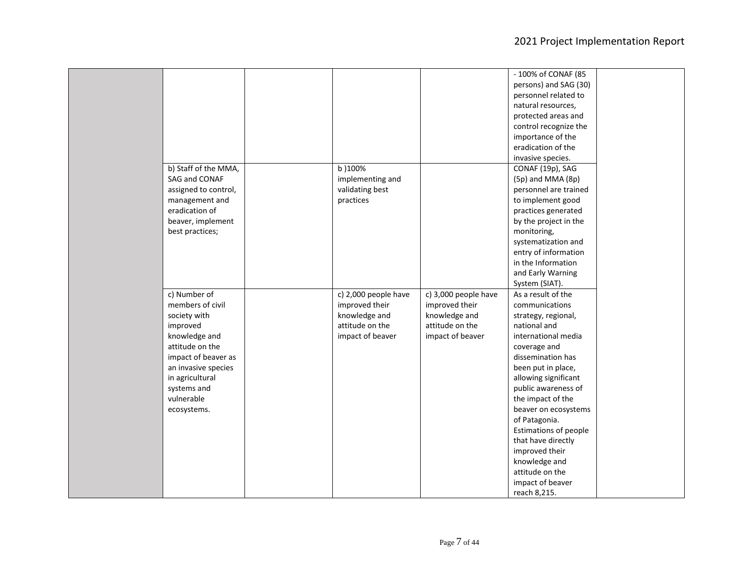|                      |                      |                      | - 100% of CONAF (85   |
|----------------------|----------------------|----------------------|-----------------------|
|                      |                      |                      | persons) and SAG (30) |
|                      |                      |                      | personnel related to  |
|                      |                      |                      | natural resources,    |
|                      |                      |                      | protected areas and   |
|                      |                      |                      | control recognize the |
|                      |                      |                      | importance of the     |
|                      |                      |                      | eradication of the    |
|                      |                      |                      | invasive species.     |
| b) Staff of the MMA, | b) 100%              |                      | CONAF (19p), SAG      |
| SAG and CONAF        | implementing and     |                      | (5p) and MMA (8p)     |
| assigned to control, | validating best      |                      | personnel are trained |
| management and       | practices            |                      | to implement good     |
| eradication of       |                      |                      | practices generated   |
| beaver, implement    |                      |                      | by the project in the |
| best practices;      |                      |                      | monitoring,           |
|                      |                      |                      | systematization and   |
|                      |                      |                      | entry of information  |
|                      |                      |                      | in the Information    |
|                      |                      |                      | and Early Warning     |
|                      |                      |                      | System (SIAT).        |
| c) Number of         | c) 2,000 people have | c) 3,000 people have | As a result of the    |
| members of civil     | improved their       | improved their       | communications        |
| society with         | knowledge and        | knowledge and        | strategy, regional,   |
| improved             | attitude on the      | attitude on the      | national and          |
| knowledge and        | impact of beaver     | impact of beaver     | international media   |
| attitude on the      |                      |                      | coverage and          |
| impact of beaver as  |                      |                      | dissemination has     |
| an invasive species  |                      |                      | been put in place,    |
| in agricultural      |                      |                      | allowing significant  |
| systems and          |                      |                      | public awareness of   |
| vulnerable           |                      |                      | the impact of the     |
| ecosystems.          |                      |                      | beaver on ecosystems  |
|                      |                      |                      | of Patagonia.         |
|                      |                      |                      | Estimations of people |
|                      |                      |                      | that have directly    |
|                      |                      |                      | improved their        |
|                      |                      |                      | knowledge and         |
|                      |                      |                      | attitude on the       |
|                      |                      |                      | impact of beaver      |
|                      |                      |                      | reach 8,215.          |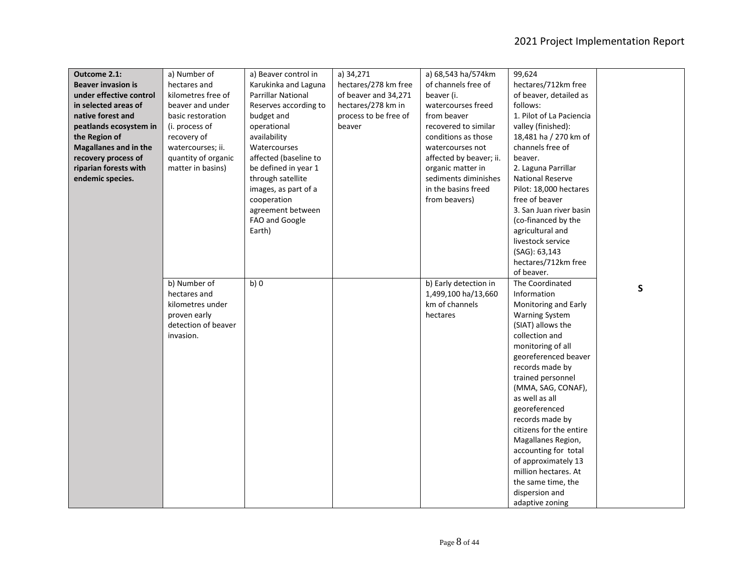| Outcome 2.1:                 | a) Number of        | a) Beaver control in      | a) 34,271             | a) 68,543 ha/574km      | 99,624                   |              |
|------------------------------|---------------------|---------------------------|-----------------------|-------------------------|--------------------------|--------------|
| <b>Beaver invasion is</b>    | hectares and        | Karukinka and Laguna      | hectares/278 km free  | of channels free of     | hectares/712km free      |              |
| under effective control      | kilometres free of  | <b>Parrillar National</b> | of beaver and 34,271  | beaver (i.              | of beaver, detailed as   |              |
| in selected areas of         | beaver and under    | Reserves according to     | hectares/278 km in    | watercourses freed      | follows:                 |              |
| native forest and            | basic restoration   | budget and                | process to be free of | from beaver             | 1. Pilot of La Paciencia |              |
| peatlands ecosystem in       | (i. process of      | operational               | beaver                | recovered to similar    | valley (finished):       |              |
| the Region of                | recovery of         | availability              |                       | conditions as those     | 18,481 ha / 270 km of    |              |
| <b>Magallanes and in the</b> | watercourses; ii.   | Watercourses              |                       | watercourses not        | channels free of         |              |
| recovery process of          | quantity of organic | affected (baseline to     |                       | affected by beaver; ii. | beaver.                  |              |
| riparian forests with        | matter in basins)   | be defined in year 1      |                       | organic matter in       | 2. Laguna Parrillar      |              |
| endemic species.             |                     | through satellite         |                       | sediments diminishes    | <b>National Reserve</b>  |              |
|                              |                     | images, as part of a      |                       | in the basins freed     | Pilot: 18,000 hectares   |              |
|                              |                     | cooperation               |                       | from beavers)           | free of beaver           |              |
|                              |                     | agreement between         |                       |                         | 3. San Juan river basin  |              |
|                              |                     | FAO and Google            |                       |                         | (co-financed by the      |              |
|                              |                     | Earth)                    |                       |                         | agricultural and         |              |
|                              |                     |                           |                       |                         | livestock service        |              |
|                              |                     |                           |                       |                         | (SAG): 63,143            |              |
|                              |                     |                           |                       |                         | hectares/712km free      |              |
|                              |                     |                           |                       |                         | of beaver.               |              |
|                              | b) Number of        | b)0                       |                       | b) Early detection in   | The Coordinated          |              |
|                              | hectares and        |                           |                       | 1,499,100 ha/13,660     | Information              | $\mathsf{S}$ |
|                              | kilometres under    |                           |                       | km of channels          | Monitoring and Early     |              |
|                              | proven early        |                           |                       | hectares                | <b>Warning System</b>    |              |
|                              | detection of beaver |                           |                       |                         | (SIAT) allows the        |              |
|                              | invasion.           |                           |                       |                         | collection and           |              |
|                              |                     |                           |                       |                         | monitoring of all        |              |
|                              |                     |                           |                       |                         | georeferenced beaver     |              |
|                              |                     |                           |                       |                         | records made by          |              |
|                              |                     |                           |                       |                         | trained personnel        |              |
|                              |                     |                           |                       |                         | (MMA, SAG, CONAF),       |              |
|                              |                     |                           |                       |                         | as well as all           |              |
|                              |                     |                           |                       |                         | georeferenced            |              |
|                              |                     |                           |                       |                         | records made by          |              |
|                              |                     |                           |                       |                         | citizens for the entire  |              |
|                              |                     |                           |                       |                         | Magallanes Region,       |              |
|                              |                     |                           |                       |                         | accounting for total     |              |
|                              |                     |                           |                       |                         | of approximately 13      |              |
|                              |                     |                           |                       |                         | million hectares. At     |              |
|                              |                     |                           |                       |                         | the same time, the       |              |
|                              |                     |                           |                       |                         | dispersion and           |              |
|                              |                     |                           |                       |                         | adaptive zoning          |              |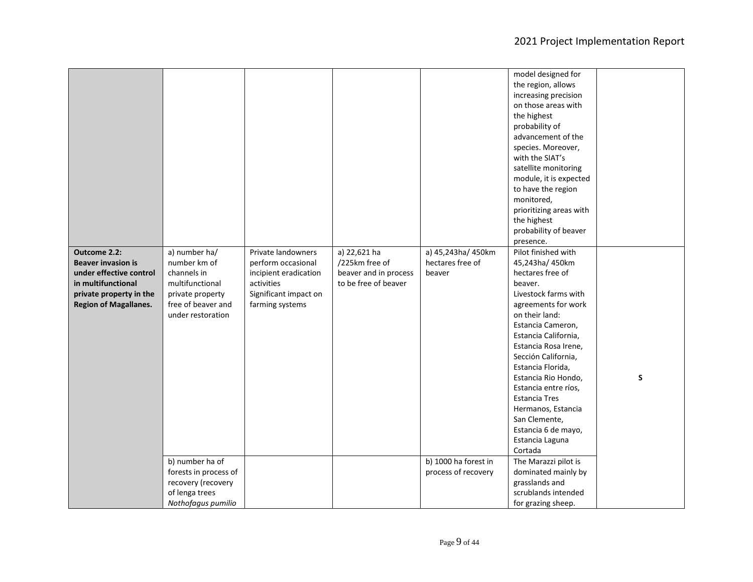|                              |                       |                       |                       |                      | model designed for      |   |
|------------------------------|-----------------------|-----------------------|-----------------------|----------------------|-------------------------|---|
|                              |                       |                       |                       |                      | the region, allows      |   |
|                              |                       |                       |                       |                      | increasing precision    |   |
|                              |                       |                       |                       |                      | on those areas with     |   |
|                              |                       |                       |                       |                      |                         |   |
|                              |                       |                       |                       |                      | the highest             |   |
|                              |                       |                       |                       |                      | probability of          |   |
|                              |                       |                       |                       |                      | advancement of the      |   |
|                              |                       |                       |                       |                      | species. Moreover,      |   |
|                              |                       |                       |                       |                      | with the SIAT's         |   |
|                              |                       |                       |                       |                      | satellite monitoring    |   |
|                              |                       |                       |                       |                      | module, it is expected  |   |
|                              |                       |                       |                       |                      | to have the region      |   |
|                              |                       |                       |                       |                      | monitored,              |   |
|                              |                       |                       |                       |                      | prioritizing areas with |   |
|                              |                       |                       |                       |                      | the highest             |   |
|                              |                       |                       |                       |                      | probability of beaver   |   |
|                              |                       |                       |                       |                      | presence.               |   |
| Outcome 2.2:                 | a) number ha/         | Private landowners    | a) 22,621 ha          | a) 45,243ha/ 450km   | Pilot finished with     |   |
| <b>Beaver invasion is</b>    | number km of          | perform occasional    | /225km free of        | hectares free of     | 45,243ha/ 450km         |   |
| under effective control      | channels in           | incipient eradication | beaver and in process | beaver               | hectares free of        |   |
| in multifunctional           | multifunctional       | activities            | to be free of beaver  |                      | beaver.                 |   |
| private property in the      | private property      | Significant impact on |                       |                      | Livestock farms with    |   |
| <b>Region of Magallanes.</b> | free of beaver and    | farming systems       |                       |                      | agreements for work     |   |
|                              | under restoration     |                       |                       |                      | on their land:          |   |
|                              |                       |                       |                       |                      | Estancia Cameron,       |   |
|                              |                       |                       |                       |                      | Estancia California,    |   |
|                              |                       |                       |                       |                      | Estancia Rosa Irene,    |   |
|                              |                       |                       |                       |                      | Sección California,     |   |
|                              |                       |                       |                       |                      | Estancia Florida,       |   |
|                              |                       |                       |                       |                      | Estancia Rio Hondo,     | S |
|                              |                       |                       |                       |                      |                         |   |
|                              |                       |                       |                       |                      | Estancia entre ríos,    |   |
|                              |                       |                       |                       |                      | <b>Estancia Tres</b>    |   |
|                              |                       |                       |                       |                      | Hermanos, Estancia      |   |
|                              |                       |                       |                       |                      | San Clemente,           |   |
|                              |                       |                       |                       |                      | Estancia 6 de mayo,     |   |
|                              |                       |                       |                       |                      | Estancia Laguna         |   |
|                              |                       |                       |                       |                      | Cortada                 |   |
|                              | b) number ha of       |                       |                       | b) 1000 ha forest in | The Marazzi pilot is    |   |
|                              | forests in process of |                       |                       | process of recovery  | dominated mainly by     |   |
|                              | recovery (recovery    |                       |                       |                      | grasslands and          |   |
|                              | of lenga trees        |                       |                       |                      | scrublands intended     |   |
|                              | Nothofagus pumilio    |                       |                       |                      | for grazing sheep.      |   |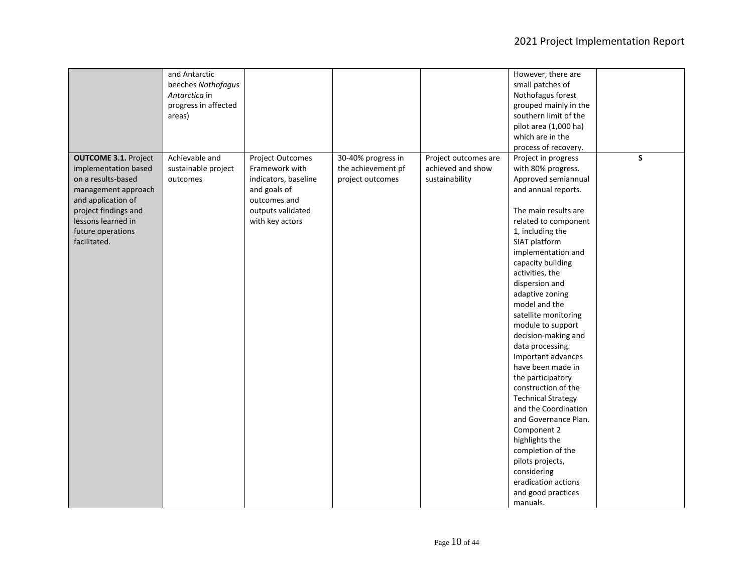|                                                                                                                                                                                                           | and Antarctic<br>beeches Nothofagus<br>Antarctica in<br>progress in affected<br>areas) |                                                                                                                                    |                                                              |                                                             | However, there are<br>small patches of<br>Nothofagus forest<br>grouped mainly in the<br>southern limit of the<br>pilot area (1,000 ha)<br>which are in the<br>process of recovery.                                                                                                                                                                                                                                                                                                                                                                                                                                                                                                                             |    |
|-----------------------------------------------------------------------------------------------------------------------------------------------------------------------------------------------------------|----------------------------------------------------------------------------------------|------------------------------------------------------------------------------------------------------------------------------------|--------------------------------------------------------------|-------------------------------------------------------------|----------------------------------------------------------------------------------------------------------------------------------------------------------------------------------------------------------------------------------------------------------------------------------------------------------------------------------------------------------------------------------------------------------------------------------------------------------------------------------------------------------------------------------------------------------------------------------------------------------------------------------------------------------------------------------------------------------------|----|
| <b>OUTCOME 3.1. Project</b><br>implementation based<br>on a results-based<br>management approach<br>and application of<br>project findings and<br>lessons learned in<br>future operations<br>facilitated. | Achievable and<br>sustainable project<br>outcomes                                      | Project Outcomes<br>Framework with<br>indicators, baseline<br>and goals of<br>outcomes and<br>outputs validated<br>with key actors | 30-40% progress in<br>the achievement pf<br>project outcomes | Project outcomes are<br>achieved and show<br>sustainability | Project in progress<br>with 80% progress.<br>Approved semiannual<br>and annual reports.<br>The main results are<br>related to component<br>1, including the<br>SIAT platform<br>implementation and<br>capacity building<br>activities, the<br>dispersion and<br>adaptive zoning<br>model and the<br>satellite monitoring<br>module to support<br>decision-making and<br>data processing.<br>Important advances<br>have been made in<br>the participatory<br>construction of the<br><b>Technical Strategy</b><br>and the Coordination<br>and Governance Plan.<br>Component 2<br>highlights the<br>completion of the<br>pilots projects,<br>considering<br>eradication actions<br>and good practices<br>manuals. | S. |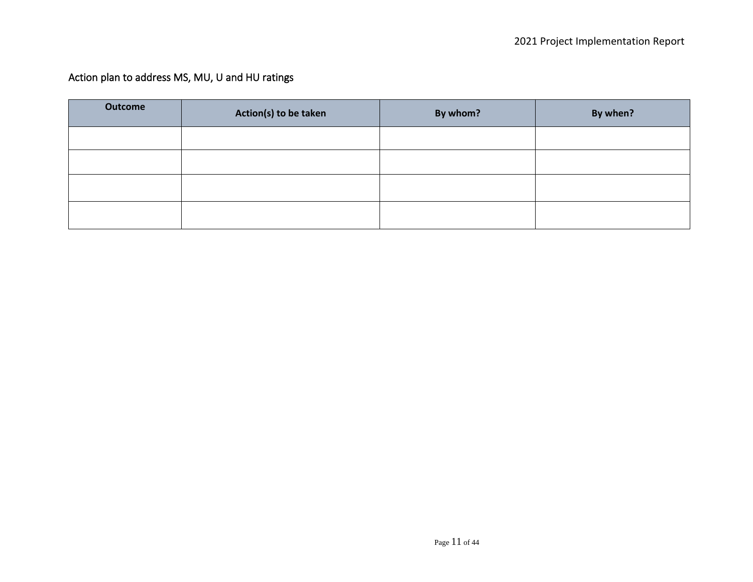# Action plan to address MS, MU, U and HU ratings

| <b>Outcome</b> | Action(s) to be taken | By whom? | By when? |
|----------------|-----------------------|----------|----------|
|                |                       |          |          |
|                |                       |          |          |
|                |                       |          |          |
|                |                       |          |          |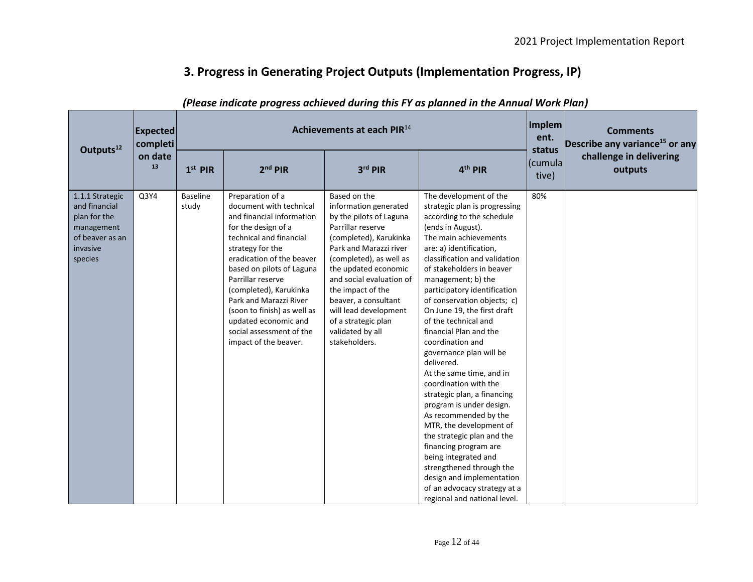# **3. Progress in Generating Project Outputs (Implementation Progress, IP)**

| Outputs <sup>12</sup>                                                                                    | <b>Expected</b><br>completi | Implem<br>Achievements at each PIR <sup>14</sup> |                                                                                                                                                                                                                                                                                                                                                                                               |                                                                                                                                                                                                                                                                                                                                                            |                                                                                                                                                                                                                                                                                                                                                                                                                                                                                                                                                                                                                                                                                                                                                                                                                                            |                             | <b>Comments</b><br>Describe any variance <sup>15</sup> or any |
|----------------------------------------------------------------------------------------------------------|-----------------------------|--------------------------------------------------|-----------------------------------------------------------------------------------------------------------------------------------------------------------------------------------------------------------------------------------------------------------------------------------------------------------------------------------------------------------------------------------------------|------------------------------------------------------------------------------------------------------------------------------------------------------------------------------------------------------------------------------------------------------------------------------------------------------------------------------------------------------------|--------------------------------------------------------------------------------------------------------------------------------------------------------------------------------------------------------------------------------------------------------------------------------------------------------------------------------------------------------------------------------------------------------------------------------------------------------------------------------------------------------------------------------------------------------------------------------------------------------------------------------------------------------------------------------------------------------------------------------------------------------------------------------------------------------------------------------------------|-----------------------------|---------------------------------------------------------------|
|                                                                                                          | on date<br>13               | $1st$ PIR                                        | $2nd$ PIR                                                                                                                                                                                                                                                                                                                                                                                     | 3rd PIR                                                                                                                                                                                                                                                                                                                                                    | 4 <sup>th</sup> PIR                                                                                                                                                                                                                                                                                                                                                                                                                                                                                                                                                                                                                                                                                                                                                                                                                        | status<br>(cumula)<br>tive) | challenge in delivering<br>outputs                            |
| 1.1.1 Strategic<br>and financial<br>plan for the<br>management<br>of beaver as an<br>invasive<br>species | Q3Y4                        | <b>Baseline</b><br>study                         | Preparation of a<br>document with technical<br>and financial information<br>for the design of a<br>technical and financial<br>strategy for the<br>eradication of the beaver<br>based on pilots of Laguna<br>Parrillar reserve<br>(completed), Karukinka<br>Park and Marazzi River<br>(soon to finish) as well as<br>updated economic and<br>social assessment of the<br>impact of the beaver. | Based on the<br>information generated<br>by the pilots of Laguna<br>Parrillar reserve<br>(completed), Karukinka<br>Park and Marazzi river<br>(completed), as well as<br>the updated economic<br>and social evaluation of<br>the impact of the<br>beaver, a consultant<br>will lead development<br>of a strategic plan<br>validated by all<br>stakeholders. | The development of the<br>strategic plan is progressing<br>according to the schedule<br>(ends in August).<br>The main achievements<br>are: a) identification,<br>classification and validation<br>of stakeholders in beaver<br>management; b) the<br>participatory identification<br>of conservation objects; c)<br>On June 19, the first draft<br>of the technical and<br>financial Plan and the<br>coordination and<br>governance plan will be<br>delivered.<br>At the same time, and in<br>coordination with the<br>strategic plan, a financing<br>program is under design.<br>As recommended by the<br>MTR, the development of<br>the strategic plan and the<br>financing program are<br>being integrated and<br>strengthened through the<br>design and implementation<br>of an advocacy strategy at a<br>regional and national level. | 80%                         |                                                               |

## *(Please indicate progress achieved during this FY as planned in the Annual Work Plan)*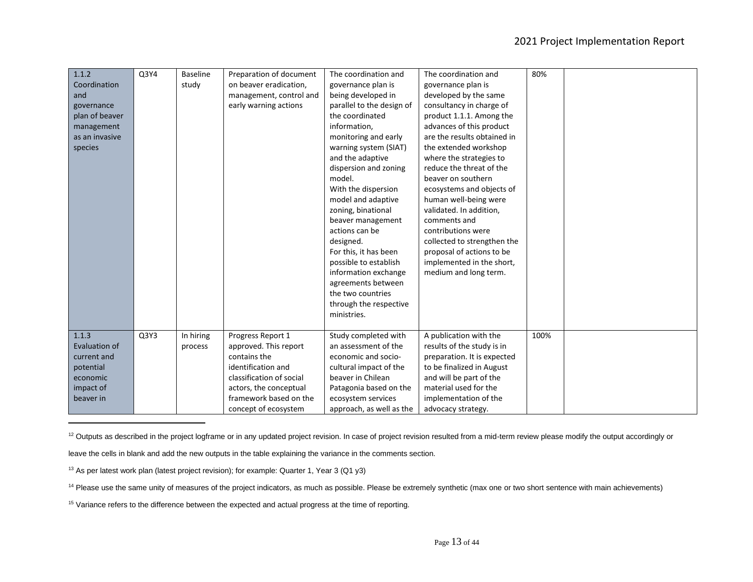| 1.1.2          | Q3Y4 | <b>Baseline</b> | Preparation of document  | The coordination and      | The coordination and        | 80%  |  |
|----------------|------|-----------------|--------------------------|---------------------------|-----------------------------|------|--|
| Coordination   |      | study           | on beaver eradication,   | governance plan is        | governance plan is          |      |  |
| and            |      |                 | management, control and  | being developed in        | developed by the same       |      |  |
| governance     |      |                 | early warning actions    | parallel to the design of | consultancy in charge of    |      |  |
| plan of beaver |      |                 |                          | the coordinated           | product 1.1.1. Among the    |      |  |
| management     |      |                 |                          | information.              | advances of this product    |      |  |
| as an invasive |      |                 |                          | monitoring and early      | are the results obtained in |      |  |
| species        |      |                 |                          | warning system (SIAT)     | the extended workshop       |      |  |
|                |      |                 |                          | and the adaptive          | where the strategies to     |      |  |
|                |      |                 |                          | dispersion and zoning     | reduce the threat of the    |      |  |
|                |      |                 |                          | model.                    | beaver on southern          |      |  |
|                |      |                 |                          | With the dispersion       | ecosystems and objects of   |      |  |
|                |      |                 |                          | model and adaptive        | human well-being were       |      |  |
|                |      |                 |                          | zoning, binational        | validated. In addition,     |      |  |
|                |      |                 |                          | beaver management         | comments and                |      |  |
|                |      |                 |                          | actions can be            | contributions were          |      |  |
|                |      |                 |                          | designed.                 | collected to strengthen the |      |  |
|                |      |                 |                          | For this, it has been     | proposal of actions to be   |      |  |
|                |      |                 |                          | possible to establish     | implemented in the short,   |      |  |
|                |      |                 |                          | information exchange      | medium and long term.       |      |  |
|                |      |                 |                          | agreements between        |                             |      |  |
|                |      |                 |                          | the two countries         |                             |      |  |
|                |      |                 |                          | through the respective    |                             |      |  |
|                |      |                 |                          | ministries.               |                             |      |  |
|                |      |                 |                          |                           |                             |      |  |
| 1.1.3          | Q3Y3 | In hiring       | Progress Report 1        | Study completed with      | A publication with the      | 100% |  |
| Evaluation of  |      | process         | approved. This report    | an assessment of the      | results of the study is in  |      |  |
| current and    |      |                 | contains the             | economic and socio-       | preparation. It is expected |      |  |
| potential      |      |                 | identification and       | cultural impact of the    | to be finalized in August   |      |  |
| economic       |      |                 | classification of social | beaver in Chilean         | and will be part of the     |      |  |
| impact of      |      |                 | actors, the conceptual   | Patagonia based on the    | material used for the       |      |  |
| beaver in      |      |                 | framework based on the   | ecosystem services        | implementation of the       |      |  |
|                |      |                 | concept of ecosystem     | approach, as well as the  | advocacy strategy.          |      |  |

<sup>12</sup> Outputs as described in the project logframe or in any updated project revision. In case of project revision resulted from a mid-term review please modify the output accordingly or

leave the cells in blank and add the new outputs in the table explaining the variance in the comments section.

<sup>13</sup> As per latest work plan (latest project revision); for example: Quarter 1, Year 3 (Q1 y3)

<sup>14</sup> Please use the same unity of measures of the project indicators, as much as possible. Please be extremely synthetic (max one or two short sentence with main achievements)

<sup>15</sup> Variance refers to the difference between the expected and actual progress at the time of reporting.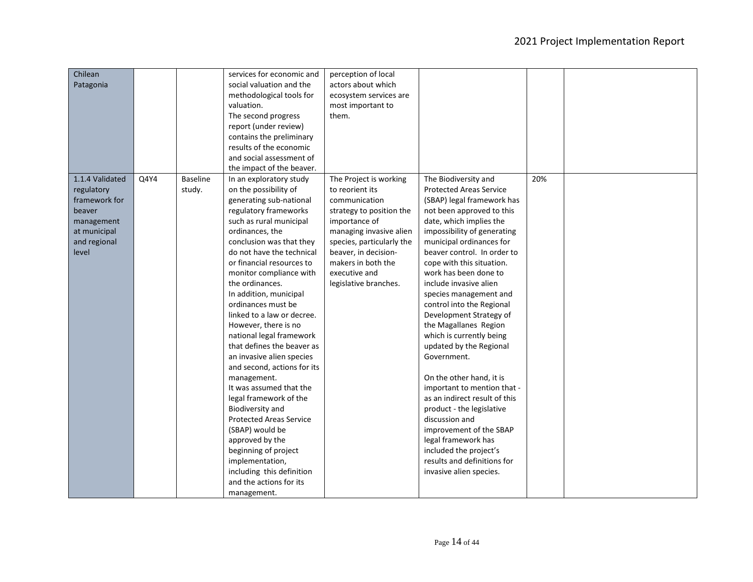| Chilean         |      |          | services for economic and      | perception of local       |                                |     |  |
|-----------------|------|----------|--------------------------------|---------------------------|--------------------------------|-----|--|
| Patagonia       |      |          | social valuation and the       | actors about which        |                                |     |  |
|                 |      |          | methodological tools for       | ecosystem services are    |                                |     |  |
|                 |      |          | valuation.                     | most important to         |                                |     |  |
|                 |      |          | The second progress            | them.                     |                                |     |  |
|                 |      |          | report (under review)          |                           |                                |     |  |
|                 |      |          | contains the preliminary       |                           |                                |     |  |
|                 |      |          | results of the economic        |                           |                                |     |  |
|                 |      |          | and social assessment of       |                           |                                |     |  |
|                 |      |          | the impact of the beaver.      |                           |                                |     |  |
| 1.1.4 Validated | Q4Y4 | Baseline | In an exploratory study        | The Project is working    | The Biodiversity and           | 20% |  |
| regulatory      |      | study.   | on the possibility of          | to reorient its           | <b>Protected Areas Service</b> |     |  |
| framework for   |      |          | generating sub-national        | communication             | (SBAP) legal framework has     |     |  |
| beaver          |      |          | regulatory frameworks          | strategy to position the  | not been approved to this      |     |  |
| management      |      |          | such as rural municipal        | importance of             | date, which implies the        |     |  |
| at municipal    |      |          | ordinances, the                | managing invasive alien   | impossibility of generating    |     |  |
| and regional    |      |          | conclusion was that they       | species, particularly the | municipal ordinances for       |     |  |
| level           |      |          | do not have the technical      | beaver, in decision-      | beaver control. In order to    |     |  |
|                 |      |          | or financial resources to      | makers in both the        | cope with this situation.      |     |  |
|                 |      |          | monitor compliance with        | executive and             | work has been done to          |     |  |
|                 |      |          | the ordinances.                | legislative branches.     | include invasive alien         |     |  |
|                 |      |          | In addition, municipal         |                           | species management and         |     |  |
|                 |      |          | ordinances must be             |                           | control into the Regional      |     |  |
|                 |      |          | linked to a law or decree.     |                           | Development Strategy of        |     |  |
|                 |      |          | However, there is no           |                           | the Magallanes Region          |     |  |
|                 |      |          | national legal framework       |                           | which is currently being       |     |  |
|                 |      |          | that defines the beaver as     |                           | updated by the Regional        |     |  |
|                 |      |          | an invasive alien species      |                           | Government.                    |     |  |
|                 |      |          | and second, actions for its    |                           |                                |     |  |
|                 |      |          | management.                    |                           | On the other hand, it is       |     |  |
|                 |      |          | It was assumed that the        |                           | important to mention that -    |     |  |
|                 |      |          | legal framework of the         |                           | as an indirect result of this  |     |  |
|                 |      |          | <b>Biodiversity and</b>        |                           | product - the legislative      |     |  |
|                 |      |          | <b>Protected Areas Service</b> |                           | discussion and                 |     |  |
|                 |      |          | (SBAP) would be                |                           | improvement of the SBAP        |     |  |
|                 |      |          | approved by the                |                           | legal framework has            |     |  |
|                 |      |          | beginning of project           |                           | included the project's         |     |  |
|                 |      |          | implementation,                |                           | results and definitions for    |     |  |
|                 |      |          | including this definition      |                           | invasive alien species.        |     |  |
|                 |      |          | and the actions for its        |                           |                                |     |  |
|                 |      |          | management.                    |                           |                                |     |  |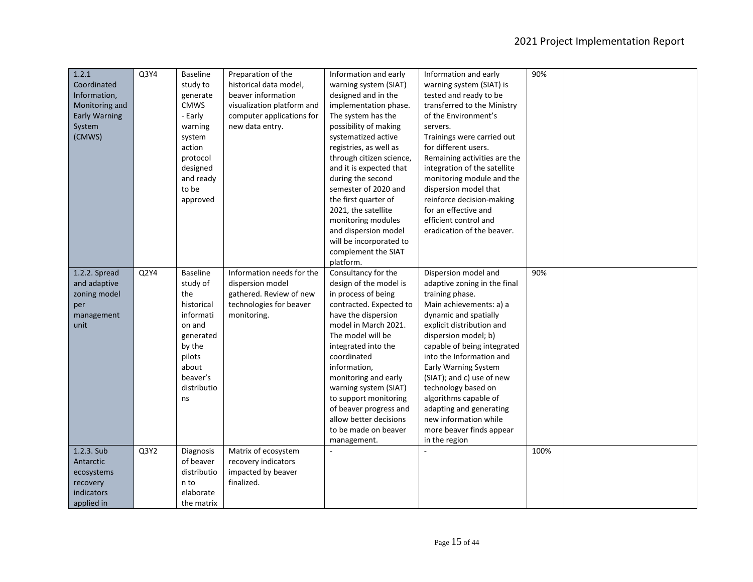| 1.2.1                | Q3Y4 | <b>Baseline</b>        | Preparation of the         | Information and early    | Information and early        | 90%  |  |
|----------------------|------|------------------------|----------------------------|--------------------------|------------------------------|------|--|
| Coordinated          |      | study to               | historical data model,     | warning system (SIAT)    | warning system (SIAT) is     |      |  |
| Information,         |      | generate               | beaver information         | designed and in the      | tested and ready to be       |      |  |
| Monitoring and       |      | <b>CMWS</b>            | visualization platform and | implementation phase.    | transferred to the Ministry  |      |  |
| <b>Early Warning</b> |      | - Early                | computer applications for  | The system has the       | of the Environment's         |      |  |
| System               |      | warning                | new data entry.            | possibility of making    | servers.                     |      |  |
| (CMWS)               |      | system                 |                            | systematized active      | Trainings were carried out   |      |  |
|                      |      | action                 |                            | registries, as well as   | for different users.         |      |  |
|                      |      |                        |                            |                          |                              |      |  |
|                      |      | protocol               |                            | through citizen science, | Remaining activities are the |      |  |
|                      |      | designed               |                            | and it is expected that  | integration of the satellite |      |  |
|                      |      | and ready              |                            | during the second        | monitoring module and the    |      |  |
|                      |      | to be                  |                            | semester of 2020 and     | dispersion model that        |      |  |
|                      |      | approved               |                            | the first quarter of     | reinforce decision-making    |      |  |
|                      |      |                        |                            | 2021, the satellite      | for an effective and         |      |  |
|                      |      |                        |                            | monitoring modules       | efficient control and        |      |  |
|                      |      |                        |                            | and dispersion model     | eradication of the beaver.   |      |  |
|                      |      |                        |                            | will be incorporated to  |                              |      |  |
|                      |      |                        |                            | complement the SIAT      |                              |      |  |
|                      |      |                        |                            | platform.                |                              |      |  |
| 1.2.2. Spread        | Q2Y4 | <b>Baseline</b>        | Information needs for the  | Consultancy for the      | Dispersion model and         | 90%  |  |
| and adaptive         |      | study of               | dispersion model           | design of the model is   | adaptive zoning in the final |      |  |
| zoning model         |      | the                    | gathered. Review of new    | in process of being      | training phase.              |      |  |
| per                  |      | historical             | technologies for beaver    | contracted. Expected to  | Main achievements: a) a      |      |  |
| management           |      | informati              | monitoring.                | have the dispersion      | dynamic and spatially        |      |  |
| unit                 |      | on and                 |                            | model in March 2021.     | explicit distribution and    |      |  |
|                      |      | generated              |                            | The model will be        | dispersion model; b)         |      |  |
|                      |      | by the                 |                            | integrated into the      | capable of being integrated  |      |  |
|                      |      | pilots                 |                            | coordinated              | into the Information and     |      |  |
|                      |      | about                  |                            | information,             | <b>Early Warning System</b>  |      |  |
|                      |      | beaver's               |                            | monitoring and early     | (SIAT); and c) use of new    |      |  |
|                      |      | distributio            |                            | warning system (SIAT)    | technology based on          |      |  |
|                      |      | ns                     |                            | to support monitoring    | algorithms capable of        |      |  |
|                      |      |                        |                            | of beaver progress and   | adapting and generating      |      |  |
|                      |      |                        |                            | allow better decisions   | new information while        |      |  |
|                      |      |                        |                            | to be made on beaver     | more beaver finds appear     |      |  |
|                      |      |                        |                            |                          |                              |      |  |
| 1.2.3. Sub           | Q3Y2 |                        |                            | management.              | in the region                | 100% |  |
|                      |      | Diagnosis<br>of beaver | Matrix of ecosystem        |                          |                              |      |  |
| Antarctic            |      |                        | recovery indicators        |                          |                              |      |  |
| ecosystems           |      | distributio            | impacted by beaver         |                          |                              |      |  |
| recovery             |      | n to                   | finalized.                 |                          |                              |      |  |
| indicators           |      | elaborate              |                            |                          |                              |      |  |
| applied in           |      | the matrix             |                            |                          |                              |      |  |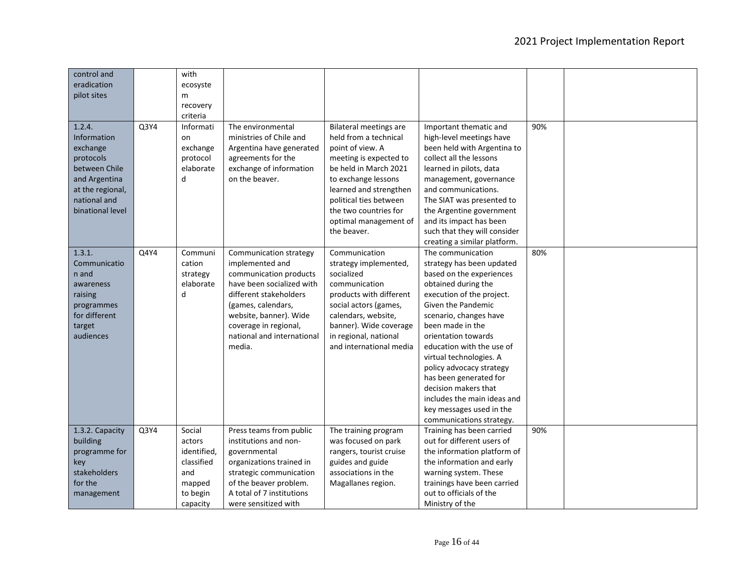| control and                 |      | with        |                            |                               |                                            |     |  |
|-----------------------------|------|-------------|----------------------------|-------------------------------|--------------------------------------------|-----|--|
| eradication                 |      | ecosyste    |                            |                               |                                            |     |  |
| pilot sites                 |      | m           |                            |                               |                                            |     |  |
|                             |      | recovery    |                            |                               |                                            |     |  |
|                             |      | criteria    |                            |                               |                                            |     |  |
| 1.2.4.                      | Q3Y4 | Informati   | The environmental          | <b>Bilateral meetings are</b> | Important thematic and                     | 90% |  |
| <b>Information</b>          |      | on          | ministries of Chile and    | held from a technical         | high-level meetings have                   |     |  |
| exchange                    |      | exchange    | Argentina have generated   | point of view. A              | been held with Argentina to                |     |  |
| protocols                   |      | protocol    | agreements for the         | meeting is expected to        | collect all the lessons                    |     |  |
| between Chile               |      | elaborate   | exchange of information    | be held in March 2021         | learned in pilots, data                    |     |  |
| and Argentina               |      | d           | on the beaver.             | to exchange lessons           | management, governance                     |     |  |
| at the regional,            |      |             |                            | learned and strengthen        | and communications.                        |     |  |
| national and                |      |             |                            | political ties between        | The SIAT was presented to                  |     |  |
| binational level            |      |             |                            | the two countries for         | the Argentine government                   |     |  |
|                             |      |             |                            | optimal management of         | and its impact has been                    |     |  |
|                             |      |             |                            | the beaver.                   | such that they will consider               |     |  |
|                             |      |             |                            |                               | creating a similar platform.               |     |  |
| 1.3.1.                      | Q4Y4 | Communi     | Communication strategy     | Communication                 | The communication                          | 80% |  |
| Communicatio                |      | cation      | implemented and            | strategy implemented,         | strategy has been updated                  |     |  |
| n and                       |      | strategy    | communication products     | socialized                    | based on the experiences                   |     |  |
| awareness                   |      | elaborate   | have been socialized with  | communication                 | obtained during the                        |     |  |
| raising                     |      | d           | different stakeholders     | products with different       | execution of the project.                  |     |  |
|                             |      |             | (games, calendars,         | social actors (games,         | <b>Given the Pandemic</b>                  |     |  |
| programmes<br>for different |      |             |                            |                               |                                            |     |  |
|                             |      |             | website, banner). Wide     | calendars, website,           | scenario, changes have<br>been made in the |     |  |
| target                      |      |             | coverage in regional,      | banner). Wide coverage        |                                            |     |  |
| audiences                   |      |             | national and international | in regional, national         | orientation towards                        |     |  |
|                             |      |             | media.                     | and international media       | education with the use of                  |     |  |
|                             |      |             |                            |                               | virtual technologies. A                    |     |  |
|                             |      |             |                            |                               | policy advocacy strategy                   |     |  |
|                             |      |             |                            |                               | has been generated for                     |     |  |
|                             |      |             |                            |                               | decision makers that                       |     |  |
|                             |      |             |                            |                               | includes the main ideas and                |     |  |
|                             |      |             |                            |                               | key messages used in the                   |     |  |
|                             |      |             |                            |                               | communications strategy.                   |     |  |
| 1.3.2. Capacity             | Q3Y4 | Social      | Press teams from public    | The training program          | Training has been carried                  | 90% |  |
| building                    |      | actors      | institutions and non-      | was focused on park           | out for different users of                 |     |  |
| programme for               |      | identified, | governmental               | rangers, tourist cruise       | the information platform of                |     |  |
| key                         |      | classified  | organizations trained in   | guides and guide              | the information and early                  |     |  |
| stakeholders                |      | and         | strategic communication    | associations in the           | warning system. These                      |     |  |
| for the                     |      | mapped      | of the beaver problem.     | Magallanes region.            | trainings have been carried                |     |  |
| management                  |      | to begin    | A total of 7 institutions  |                               | out to officials of the                    |     |  |
|                             |      | capacity    | were sensitized with       |                               | Ministry of the                            |     |  |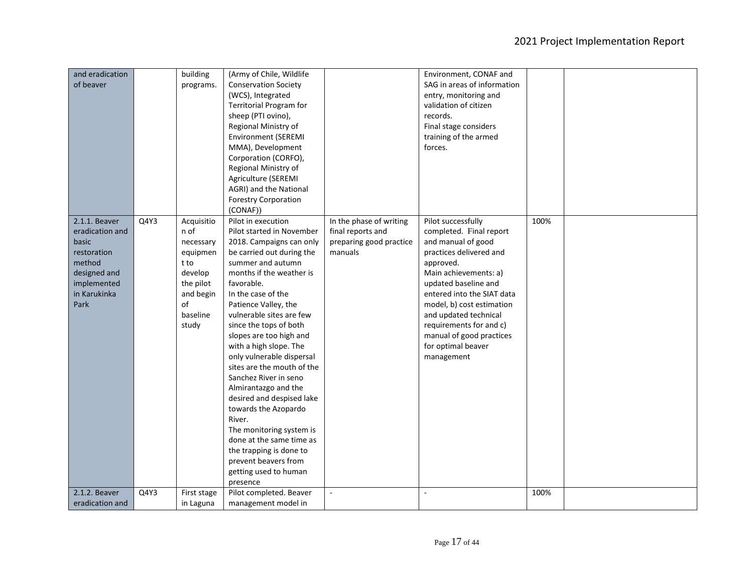| and eradication |      | building    | (Army of Chile, Wildlife    |                         | Environment, CONAF and      |      |  |
|-----------------|------|-------------|-----------------------------|-------------------------|-----------------------------|------|--|
| of beaver       |      | programs.   | <b>Conservation Society</b> |                         | SAG in areas of information |      |  |
|                 |      |             | (WCS), Integrated           |                         | entry, monitoring and       |      |  |
|                 |      |             | Territorial Program for     |                         | validation of citizen       |      |  |
|                 |      |             | sheep (PTI ovino),          |                         | records.                    |      |  |
|                 |      |             | Regional Ministry of        |                         | Final stage considers       |      |  |
|                 |      |             | <b>Environment (SEREMI</b>  |                         | training of the armed       |      |  |
|                 |      |             | MMA), Development           |                         | forces.                     |      |  |
|                 |      |             | Corporation (CORFO),        |                         |                             |      |  |
|                 |      |             | Regional Ministry of        |                         |                             |      |  |
|                 |      |             | Agriculture (SEREMI         |                         |                             |      |  |
|                 |      |             | AGRI) and the National      |                         |                             |      |  |
|                 |      |             | <b>Forestry Corporation</b> |                         |                             |      |  |
|                 |      |             | (CONAF))                    |                         |                             |      |  |
| 2.1.1. Beaver   | Q4Y3 | Acquisitio  | Pilot in execution          | In the phase of writing | Pilot successfully          | 100% |  |
| eradication and |      | n of        | Pilot started in November   | final reports and       | completed. Final report     |      |  |
| basic           |      | necessary   | 2018. Campaigns can only    | preparing good practice | and manual of good          |      |  |
| restoration     |      | equipmen    | be carried out during the   | manuals                 | practices delivered and     |      |  |
| method          |      | t to        | summer and autumn           |                         | approved.                   |      |  |
| designed and    |      | develop     | months if the weather is    |                         | Main achievements: a)       |      |  |
| implemented     |      | the pilot   | favorable.                  |                         | updated baseline and        |      |  |
| in Karukinka    |      | and begin   | In the case of the          |                         | entered into the SIAT data  |      |  |
| Park            |      | of          | Patience Valley, the        |                         | model, b) cost estimation   |      |  |
|                 |      | baseline    | vulnerable sites are few    |                         | and updated technical       |      |  |
|                 |      | study       | since the tops of both      |                         | requirements for and c)     |      |  |
|                 |      |             | slopes are too high and     |                         | manual of good practices    |      |  |
|                 |      |             | with a high slope. The      |                         | for optimal beaver          |      |  |
|                 |      |             | only vulnerable dispersal   |                         | management                  |      |  |
|                 |      |             | sites are the mouth of the  |                         |                             |      |  |
|                 |      |             | Sanchez River in seno       |                         |                             |      |  |
|                 |      |             | Almirantazgo and the        |                         |                             |      |  |
|                 |      |             | desired and despised lake   |                         |                             |      |  |
|                 |      |             | towards the Azopardo        |                         |                             |      |  |
|                 |      |             | River.                      |                         |                             |      |  |
|                 |      |             | The monitoring system is    |                         |                             |      |  |
|                 |      |             | done at the same time as    |                         |                             |      |  |
|                 |      |             | the trapping is done to     |                         |                             |      |  |
|                 |      |             | prevent beavers from        |                         |                             |      |  |
|                 |      |             | getting used to human       |                         |                             |      |  |
|                 |      |             | presence                    |                         |                             |      |  |
| 2.1.2. Beaver   | Q4Y3 | First stage | Pilot completed. Beaver     | ÷,                      |                             | 100% |  |
| eradication and |      | in Laguna   | management model in         |                         |                             |      |  |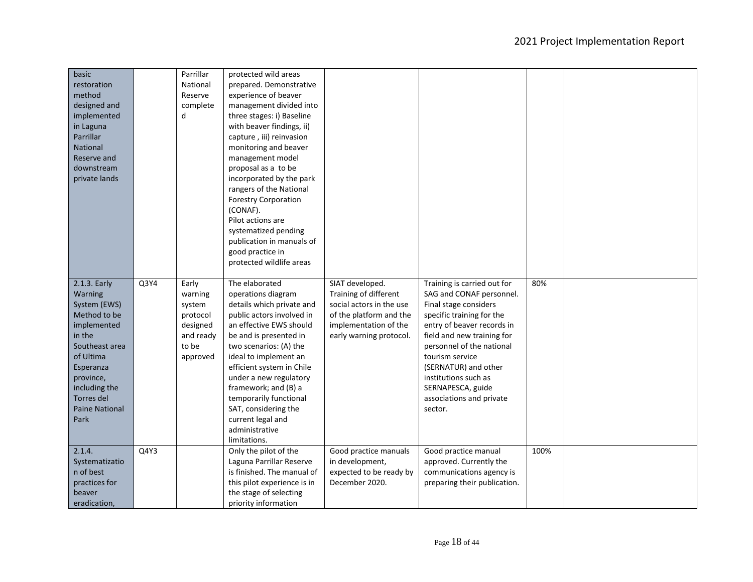| basic<br>restoration<br>method<br>designed and<br>implemented<br>in Laguna<br>Parrillar<br>National<br>Reserve and<br>downstream<br>private lands                                                         |      | Parrillar<br>National<br>Reserve<br>complete<br>d                                    | protected wild areas<br>prepared. Demonstrative<br>experience of beaver<br>management divided into<br>three stages: i) Baseline<br>with beaver findings, ii)<br>capture, iii) reinvasion<br>monitoring and beaver<br>management model<br>proposal as a to be<br>incorporated by the park<br>rangers of the National<br><b>Forestry Corporation</b><br>(CONAF).<br>Pilot actions are<br>systematized pending<br>publication in manuals of<br>good practice in<br>protected wildlife areas |                                                                                                                                                     |                                                                                                                                                                                                                                                                                                                                       |      |  |
|-----------------------------------------------------------------------------------------------------------------------------------------------------------------------------------------------------------|------|--------------------------------------------------------------------------------------|------------------------------------------------------------------------------------------------------------------------------------------------------------------------------------------------------------------------------------------------------------------------------------------------------------------------------------------------------------------------------------------------------------------------------------------------------------------------------------------|-----------------------------------------------------------------------------------------------------------------------------------------------------|---------------------------------------------------------------------------------------------------------------------------------------------------------------------------------------------------------------------------------------------------------------------------------------------------------------------------------------|------|--|
| 2.1.3. Early<br>Warning<br>System (EWS)<br>Method to be<br>implemented<br>in the<br>Southeast area<br>of Ultima<br>Esperanza<br>province,<br>including the<br>Torres del<br><b>Paine National</b><br>Park | Q3Y4 | Early<br>warning<br>system<br>protocol<br>designed<br>and ready<br>to be<br>approved | The elaborated<br>operations diagram<br>details which private and<br>public actors involved in<br>an effective EWS should<br>be and is presented in<br>two scenarios: (A) the<br>ideal to implement an<br>efficient system in Chile<br>under a new regulatory<br>framework; and (B) a<br>temporarily functional<br>SAT, considering the<br>current legal and<br>administrative<br>limitations.                                                                                           | SIAT developed.<br>Training of different<br>social actors in the use<br>of the platform and the<br>implementation of the<br>early warning protocol. | Training is carried out for<br>SAG and CONAF personnel.<br>Final stage considers<br>specific training for the<br>entry of beaver records in<br>field and new training for<br>personnel of the national<br>tourism service<br>(SERNATUR) and other<br>institutions such as<br>SERNAPESCA, guide<br>associations and private<br>sector. | 80%  |  |
| 2.1.4.<br>Systematizatio<br>n of best<br>practices for<br>beaver<br>eradication,                                                                                                                          | Q4Y3 |                                                                                      | Only the pilot of the<br>Laguna Parrillar Reserve<br>is finished. The manual of<br>this pilot experience is in<br>the stage of selecting<br>priority information                                                                                                                                                                                                                                                                                                                         | Good practice manuals<br>in development,<br>expected to be ready by<br>December 2020.                                                               | Good practice manual<br>approved. Currently the<br>communications agency is<br>preparing their publication.                                                                                                                                                                                                                           | 100% |  |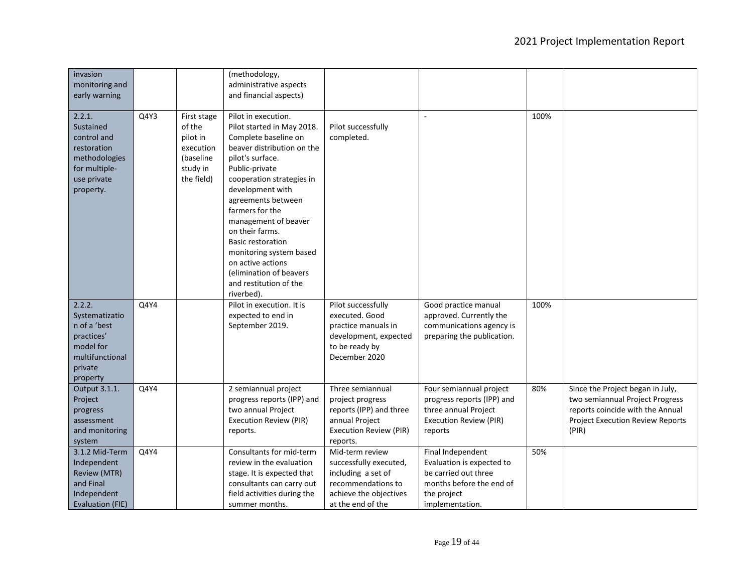| invasion<br>monitoring and<br>early warning                                                                     |      |                                                                                       | (methodology,<br>administrative aspects<br>and financial aspects)                                                                                                                                                                                                                                                                                                                                                                 |                                                                                                                                      |                                                                                                                                      |      |                                                                                                                                                             |
|-----------------------------------------------------------------------------------------------------------------|------|---------------------------------------------------------------------------------------|-----------------------------------------------------------------------------------------------------------------------------------------------------------------------------------------------------------------------------------------------------------------------------------------------------------------------------------------------------------------------------------------------------------------------------------|--------------------------------------------------------------------------------------------------------------------------------------|--------------------------------------------------------------------------------------------------------------------------------------|------|-------------------------------------------------------------------------------------------------------------------------------------------------------------|
| 2.2.1.<br>Sustained<br>control and<br>restoration<br>methodologies<br>for multiple-<br>use private<br>property. | Q4Y3 | First stage<br>of the<br>pilot in<br>execution<br>(baseline<br>study in<br>the field) | Pilot in execution.<br>Pilot started in May 2018.<br>Complete baseline on<br>beaver distribution on the<br>pilot's surface.<br>Public-private<br>cooperation strategies in<br>development with<br>agreements between<br>farmers for the<br>management of beaver<br>on their farms.<br><b>Basic restoration</b><br>monitoring system based<br>on active actions<br>(elimination of beavers<br>and restitution of the<br>riverbed). | Pilot successfully<br>completed.                                                                                                     |                                                                                                                                      | 100% |                                                                                                                                                             |
| 2.2.2.<br>Systematizatio<br>n of a 'best<br>practices'<br>model for<br>multifunctional<br>private<br>property   | Q4Y4 |                                                                                       | Pilot in execution. It is<br>expected to end in<br>September 2019.                                                                                                                                                                                                                                                                                                                                                                | Pilot successfully<br>executed. Good<br>practice manuals in<br>development, expected<br>to be ready by<br>December 2020              | Good practice manual<br>approved. Currently the<br>communications agency is<br>preparing the publication.                            | 100% |                                                                                                                                                             |
| Output 3.1.1.<br>Project<br>progress<br>assessment<br>and monitoring<br>system                                  | Q4Y4 |                                                                                       | 2 semiannual project<br>progress reports (IPP) and<br>two annual Project<br><b>Execution Review (PIR)</b><br>reports.                                                                                                                                                                                                                                                                                                             | Three semiannual<br>project progress<br>reports (IPP) and three<br>annual Project<br><b>Execution Review (PIR)</b><br>reports.       | Four semiannual project<br>progress reports (IPP) and<br>three annual Project<br><b>Execution Review (PIR)</b><br>reports            | 80%  | Since the Project began in July,<br>two semiannual Project Progress<br>reports coincide with the Annual<br><b>Project Execution Review Reports</b><br>(PIR) |
| 3.1.2 Mid-Term<br>Independent<br><b>Review (MTR)</b><br>and Final<br>Independent<br>Evaluation (FIE)            | Q4Y4 |                                                                                       | Consultants for mid-term<br>review in the evaluation<br>stage. It is expected that<br>consultants can carry out<br>field activities during the<br>summer months.                                                                                                                                                                                                                                                                  | Mid-term review<br>successfully executed,<br>including a set of<br>recommendations to<br>achieve the objectives<br>at the end of the | Final Independent<br>Evaluation is expected to<br>be carried out three<br>months before the end of<br>the project<br>implementation. | 50%  |                                                                                                                                                             |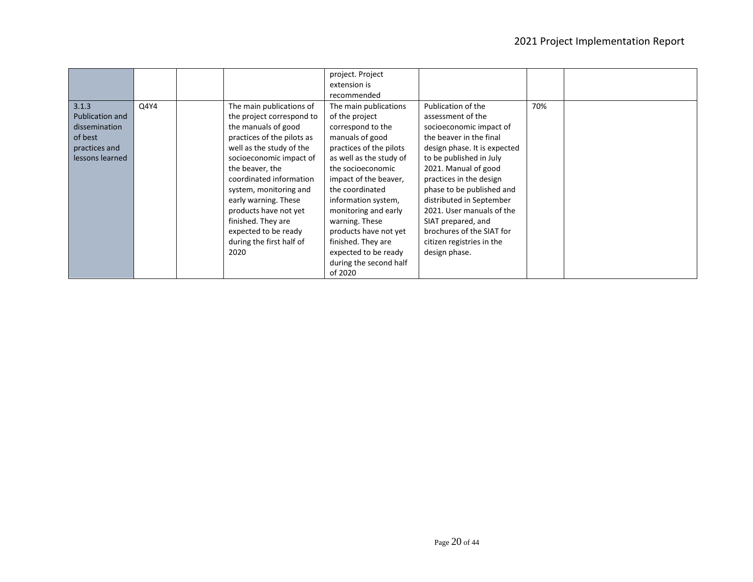|                 |      |                            | project. Project<br>extension is |                              |     |  |
|-----------------|------|----------------------------|----------------------------------|------------------------------|-----|--|
|                 |      |                            | recommended                      |                              |     |  |
| 3.1.3           | Q4Y4 | The main publications of   | The main publications            | Publication of the           | 70% |  |
| Publication and |      | the project correspond to  | of the project                   | assessment of the            |     |  |
| dissemination   |      | the manuals of good        | correspond to the                | socioeconomic impact of      |     |  |
| of best         |      | practices of the pilots as | manuals of good                  | the beaver in the final      |     |  |
| practices and   |      | well as the study of the   | practices of the pilots          | design phase. It is expected |     |  |
| lessons learned |      | socioeconomic impact of    | as well as the study of          | to be published in July      |     |  |
|                 |      | the beaver, the            | the socioeconomic                | 2021. Manual of good         |     |  |
|                 |      | coordinated information    | impact of the beaver,            | practices in the design      |     |  |
|                 |      | system, monitoring and     | the coordinated                  | phase to be published and    |     |  |
|                 |      | early warning. These       | information system,              | distributed in September     |     |  |
|                 |      | products have not yet      | monitoring and early             | 2021. User manuals of the    |     |  |
|                 |      | finished. They are         | warning. These                   | SIAT prepared, and           |     |  |
|                 |      | expected to be ready       | products have not yet            | brochures of the SIAT for    |     |  |
|                 |      | during the first half of   | finished. They are               | citizen registries in the    |     |  |
|                 |      | 2020                       | expected to be ready             | design phase.                |     |  |
|                 |      |                            | during the second half           |                              |     |  |
|                 |      |                            | of 2020                          |                              |     |  |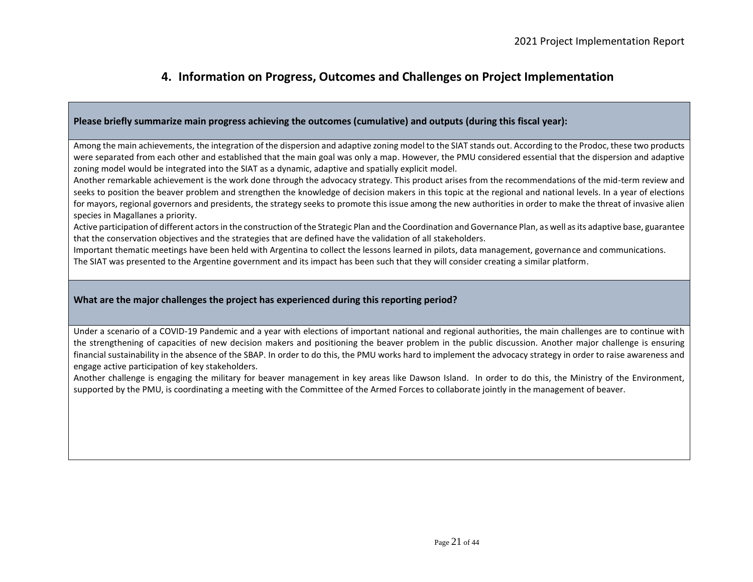## **4. Information on Progress, Outcomes and Challenges on Project Implementation**

### **Please briefly summarize main progress achieving the outcomes (cumulative) and outputs (during this fiscal year):**

Among the main achievements, the integration of the dispersion and adaptive zoning model to the SIAT stands out. According to the Prodoc, these two products were separated from each other and established that the main goal was only a map. However, the PMU considered essential that the dispersion and adaptive zoning model would be integrated into the SIAT as a dynamic, adaptive and spatially explicit model.

Another remarkable achievement is the work done through the advocacy strategy. This product arises from the recommendations of the mid-term review and seeks to position the beaver problem and strengthen the knowledge of decision makers in this topic at the regional and national levels. In a year of elections for mayors, regional governors and presidents, the strategy seeks to promote this issue among the new authorities in order to make the threat of invasive alien species in Magallanes a priority.

Active participation of different actors in the construction of the Strategic Plan and the Coordination and Governance Plan, as well as its adaptive base, guarantee that the conservation objectives and the strategies that are defined have the validation of all stakeholders.

Important thematic meetings have been held with Argentina to collect the lessons learned in pilots, data management, governance and communications.

The SIAT was presented to the Argentine government and its impact has been such that they will consider creating a similar platform.

#### **What are the major challenges the project has experienced during this reporting period?**

Under a scenario of a COVID-19 Pandemic and a year with elections of important national and regional authorities, the main challenges are to continue with the strengthening of capacities of new decision makers and positioning the beaver problem in the public discussion. Another major challenge is ensuring financial sustainability in the absence of the SBAP. In order to do this, the PMU works hard to implement the advocacy strategy in order to raise awareness and engage active participation of key stakeholders.

Another challenge is engaging the military for beaver management in key areas like Dawson Island. In order to do this, the Ministry of the Environment, supported by the PMU, is coordinating a meeting with the Committee of the Armed Forces to collaborate jointly in the management of beaver.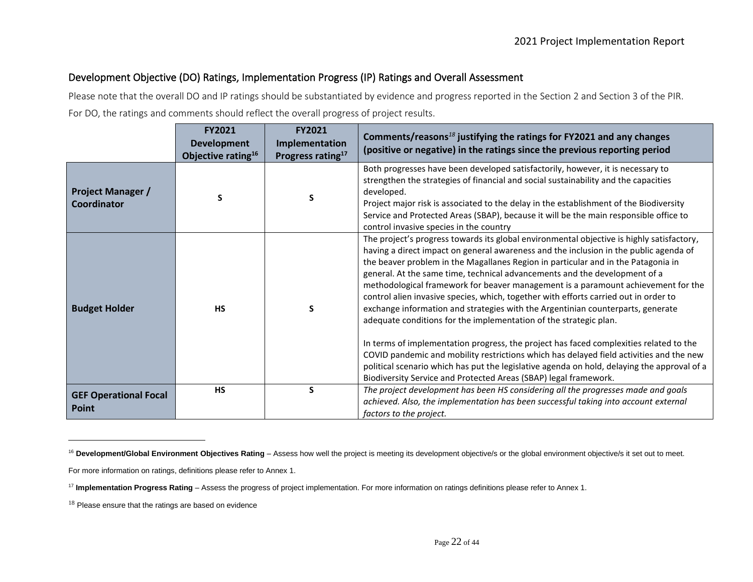## Development Objective (DO) Ratings, Implementation Progress (IP) Ratings and Overall Assessment

Please note that the overall DO and IP ratings should be substantiated by evidence and progress reported in the Section 2 and Section 3 of the PIR. For DO, the ratings and comments should reflect the overall progress of project results.

|                                         | <b>FY2021</b><br><b>Development</b><br>Objective rating <sup>16</sup> | <b>FY2021</b><br>Implementation<br>Progress rating <sup>17</sup> | Comments/reasons $^{18}$ justifying the ratings for FY2021 and any changes<br>(positive or negative) in the ratings since the previous reporting period                                                                                                                                                                                                                                                                                                                                                                                                                                                                                                                                                                                                                                                                                                                                                                                                                                                                                            |
|-----------------------------------------|-----------------------------------------------------------------------|------------------------------------------------------------------|----------------------------------------------------------------------------------------------------------------------------------------------------------------------------------------------------------------------------------------------------------------------------------------------------------------------------------------------------------------------------------------------------------------------------------------------------------------------------------------------------------------------------------------------------------------------------------------------------------------------------------------------------------------------------------------------------------------------------------------------------------------------------------------------------------------------------------------------------------------------------------------------------------------------------------------------------------------------------------------------------------------------------------------------------|
| <b>Project Manager /</b><br>Coordinator | S                                                                     | S                                                                | Both progresses have been developed satisfactorily, however, it is necessary to<br>strengthen the strategies of financial and social sustainability and the capacities<br>developed.<br>Project major risk is associated to the delay in the establishment of the Biodiversity<br>Service and Protected Areas (SBAP), because it will be the main responsible office to<br>control invasive species in the country                                                                                                                                                                                                                                                                                                                                                                                                                                                                                                                                                                                                                                 |
| <b>Budget Holder</b>                    | <b>HS</b>                                                             | S                                                                | The project's progress towards its global environmental objective is highly satisfactory,<br>having a direct impact on general awareness and the inclusion in the public agenda of<br>the beaver problem in the Magallanes Region in particular and in the Patagonia in<br>general. At the same time, technical advancements and the development of a<br>methodological framework for beaver management is a paramount achievement for the<br>control alien invasive species, which, together with efforts carried out in order to<br>exchange information and strategies with the Argentinian counterparts, generate<br>adequate conditions for the implementation of the strategic plan.<br>In terms of implementation progress, the project has faced complexities related to the<br>COVID pandemic and mobility restrictions which has delayed field activities and the new<br>political scenario which has put the legislative agenda on hold, delaying the approval of a<br>Biodiversity Service and Protected Areas (SBAP) legal framework. |
| <b>GEF Operational Focal</b><br>Point   | <b>HS</b>                                                             | S                                                                | The project development has been HS considering all the progresses made and goals<br>achieved. Also, the implementation has been successful taking into account external<br>factors to the project.                                                                                                                                                                                                                                                                                                                                                                                                                                                                                                                                                                                                                                                                                                                                                                                                                                                |

<sup>&</sup>lt;sup>16</sup> Development/Global Environment Objectives Rating - Assess how well the project is meeting its development objective/s or the global environment objective/s it set out to meet.

For more information on ratings, definitions please refer to Annex 1.

<sup>17</sup> **Implementation Progress Rating** – Assess the progress of project implementation. For more information on ratings definitions please refer to Annex 1.

<sup>&</sup>lt;sup>18</sup> Please ensure that the ratings are based on evidence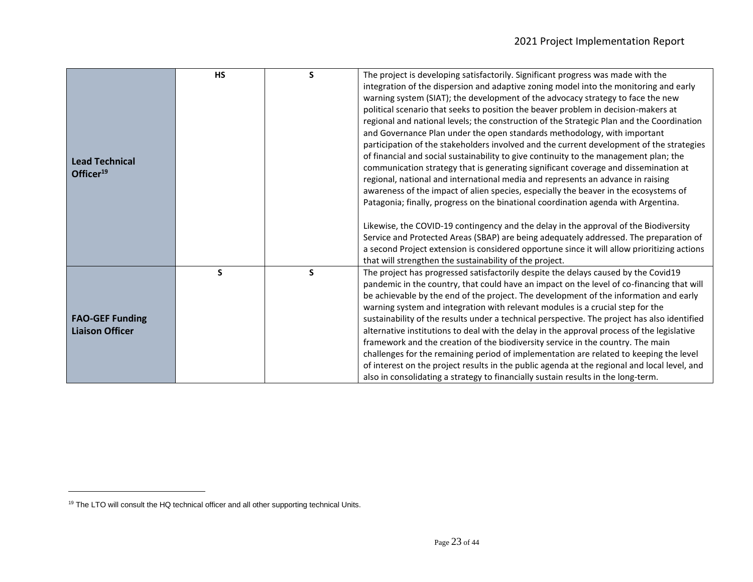|                        | <b>HS</b> | S | The project is developing satisfactorily. Significant progress was made with the<br>integration of the dispersion and adaptive zoning model into the monitoring and early          |
|------------------------|-----------|---|------------------------------------------------------------------------------------------------------------------------------------------------------------------------------------|
|                        |           |   | warning system (SIAT); the development of the advocacy strategy to face the new                                                                                                    |
|                        |           |   | political scenario that seeks to position the beaver problem in decision-makers at<br>regional and national levels; the construction of the Strategic Plan and the Coordination    |
|                        |           |   | and Governance Plan under the open standards methodology, with important                                                                                                           |
|                        |           |   | participation of the stakeholders involved and the current development of the strategies                                                                                           |
| <b>Lead Technical</b>  |           |   | of financial and social sustainability to give continuity to the management plan; the                                                                                              |
| Officer <sup>19</sup>  |           |   | communication strategy that is generating significant coverage and dissemination at                                                                                                |
|                        |           |   | regional, national and international media and represents an advance in raising                                                                                                    |
|                        |           |   | awareness of the impact of alien species, especially the beaver in the ecosystems of                                                                                               |
|                        |           |   | Patagonia; finally, progress on the binational coordination agenda with Argentina.                                                                                                 |
|                        |           |   | Likewise, the COVID-19 contingency and the delay in the approval of the Biodiversity                                                                                               |
|                        |           |   | Service and Protected Areas (SBAP) are being adequately addressed. The preparation of                                                                                              |
|                        |           |   | a second Project extension is considered opportune since it will allow prioritizing actions                                                                                        |
|                        |           |   | that will strengthen the sustainability of the project.                                                                                                                            |
|                        | S         | S | The project has progressed satisfactorily despite the delays caused by the Covid19                                                                                                 |
|                        |           |   | pandemic in the country, that could have an impact on the level of co-financing that will<br>be achievable by the end of the project. The development of the information and early |
|                        |           |   | warning system and integration with relevant modules is a crucial step for the                                                                                                     |
| <b>FAO-GEF Funding</b> |           |   | sustainability of the results under a technical perspective. The project has also identified                                                                                       |
| <b>Liaison Officer</b> |           |   | alternative institutions to deal with the delay in the approval process of the legislative                                                                                         |
|                        |           |   | framework and the creation of the biodiversity service in the country. The main                                                                                                    |
|                        |           |   | challenges for the remaining period of implementation are related to keeping the level                                                                                             |
|                        |           |   | of interest on the project results in the public agenda at the regional and local level, and                                                                                       |
|                        |           |   | also in consolidating a strategy to financially sustain results in the long-term.                                                                                                  |

<sup>&</sup>lt;sup>19</sup> The LTO will consult the HQ technical officer and all other supporting technical Units.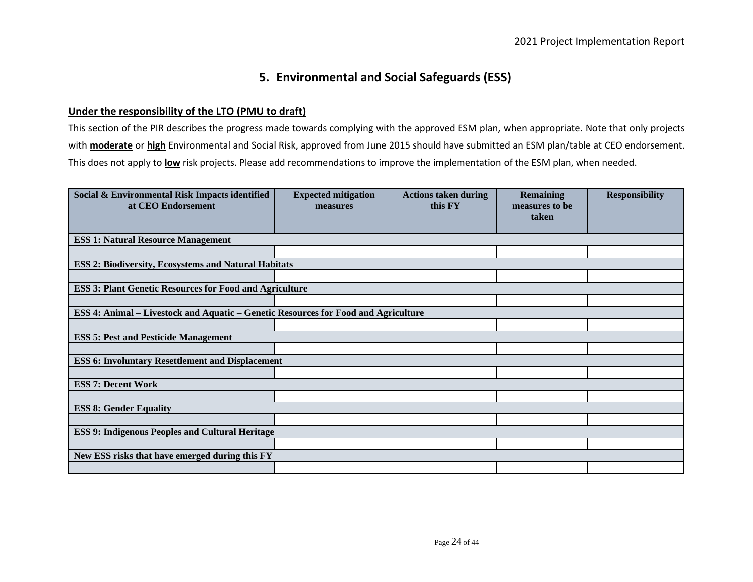# **5. Environmental and Social Safeguards (ESS)**

## **Under the responsibility of the LTO (PMU to draft)**

This section of the PIR describes the progress made towards complying with the approved ESM plan, when appropriate. Note that only projects with **moderate** or **high** Environmental and Social Risk, approved from June 2015 should have submitted an ESM plan/table at CEO endorsement. This does not apply to **low** risk projects. Please add recommendations to improve the implementation of the ESM plan, when needed.

| Social & Environmental Risk Impacts identified<br>at CEO Endorsement                      | <b>Expected mitigation</b><br>measures | <b>Actions taken during</b><br>this FY | <b>Remaining</b><br>measures to be<br>taken | <b>Responsibility</b> |
|-------------------------------------------------------------------------------------------|----------------------------------------|----------------------------------------|---------------------------------------------|-----------------------|
| <b>ESS 1: Natural Resource Management</b>                                                 |                                        |                                        |                                             |                       |
|                                                                                           |                                        |                                        |                                             |                       |
| <b>ESS 2: Biodiversity, Ecosystems and Natural Habitats</b>                               |                                        |                                        |                                             |                       |
|                                                                                           |                                        |                                        |                                             |                       |
| <b>ESS 3: Plant Genetic Resources for Food and Agriculture</b>                            |                                        |                                        |                                             |                       |
|                                                                                           |                                        |                                        |                                             |                       |
| <b>ESS 4: Animal – Livestock and Aquatic – Genetic Resources for Food and Agriculture</b> |                                        |                                        |                                             |                       |
|                                                                                           |                                        |                                        |                                             |                       |
| <b>ESS 5: Pest and Pesticide Management</b>                                               |                                        |                                        |                                             |                       |
|                                                                                           |                                        |                                        |                                             |                       |
| <b>ESS 6: Involuntary Resettlement and Displacement</b>                                   |                                        |                                        |                                             |                       |
|                                                                                           |                                        |                                        |                                             |                       |
| <b>ESS 7: Decent Work</b>                                                                 |                                        |                                        |                                             |                       |
|                                                                                           |                                        |                                        |                                             |                       |
| <b>ESS 8: Gender Equality</b>                                                             |                                        |                                        |                                             |                       |
|                                                                                           |                                        |                                        |                                             |                       |
| <b>ESS 9: Indigenous Peoples and Cultural Heritage</b>                                    |                                        |                                        |                                             |                       |
|                                                                                           |                                        |                                        |                                             |                       |
| New ESS risks that have emerged during this FY                                            |                                        |                                        |                                             |                       |
|                                                                                           |                                        |                                        |                                             |                       |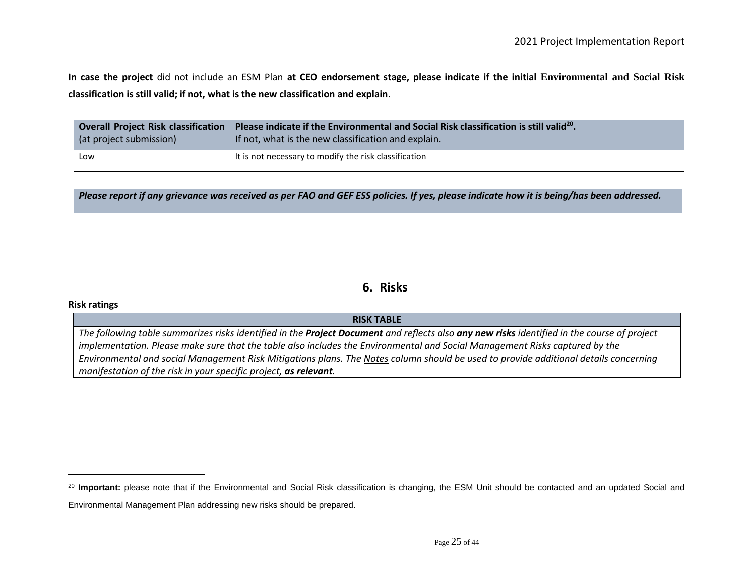**In case the project** did not include an ESM Plan **at CEO endorsement stage, please indicate if the initial Environmental and Social Risk classification is still valid; if not, what is the new classification and explain**.

|                         | Overall Project Risk classification   Please indicate if the Environmental and Social Risk classification is still valid <sup>20</sup> . |
|-------------------------|------------------------------------------------------------------------------------------------------------------------------------------|
| (at project submission) | If not, what is the new classification and explain.                                                                                      |
| Low                     | It is not necessary to modify the risk classification                                                                                    |

*Please report if any grievance was received as per FAO and GEF ESS policies. If yes, please indicate how it is being/has been addressed.*

## **6. Risks**

#### **Risk ratings**

#### **RISK TABLE**

*The following table summarizes risks identified in the Project Document and reflects also any new risks identified in the course of project implementation. Please make sure that the table also includes the Environmental and Social Management Risks captured by the Environmental and social Management Risk Mitigations plans. The Notes column should be used to provide additional details concerning manifestation of the risk in your specific project, as relevant.* 

<sup>&</sup>lt;sup>20</sup> Important: please note that if the Environmental and Social Risk classification is changing, the ESM Unit should be contacted and an updated Social and Environmental Management Plan addressing new risks should be prepared.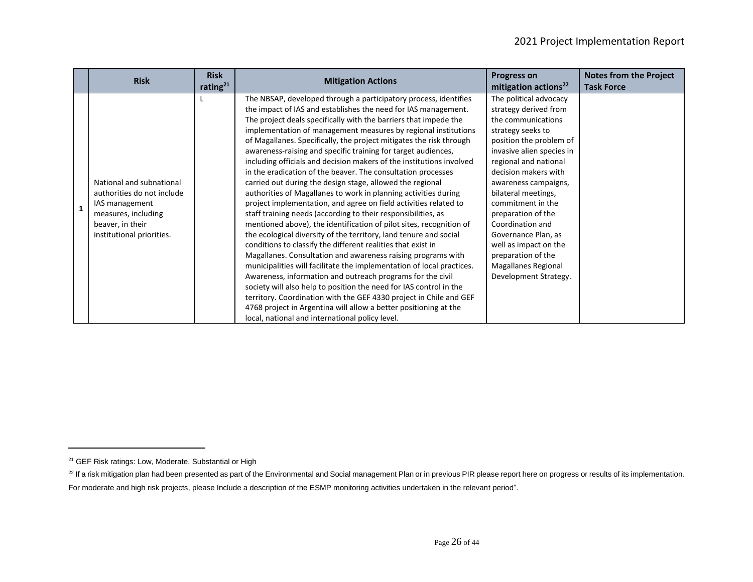|              | <b>Risk</b>                                                                                                                                      | <b>Risk</b><br>rating $21$ | <b>Mitigation Actions</b>                                                                                                                                                                                                                                                                                                                                                                                                                                                                                                                                                                                                                                                                                                                                                                                                                                                                                                                                                                                                                                                                                                                                                                                                                                                                                                                                                                                                                                                                                           | <b>Progress on</b><br>mitigation actions <sup>22</sup>                                                                                                                                                                                                                                                                                                                                                                                  | <b>Notes from the Project</b><br><b>Task Force</b> |
|--------------|--------------------------------------------------------------------------------------------------------------------------------------------------|----------------------------|---------------------------------------------------------------------------------------------------------------------------------------------------------------------------------------------------------------------------------------------------------------------------------------------------------------------------------------------------------------------------------------------------------------------------------------------------------------------------------------------------------------------------------------------------------------------------------------------------------------------------------------------------------------------------------------------------------------------------------------------------------------------------------------------------------------------------------------------------------------------------------------------------------------------------------------------------------------------------------------------------------------------------------------------------------------------------------------------------------------------------------------------------------------------------------------------------------------------------------------------------------------------------------------------------------------------------------------------------------------------------------------------------------------------------------------------------------------------------------------------------------------------|-----------------------------------------------------------------------------------------------------------------------------------------------------------------------------------------------------------------------------------------------------------------------------------------------------------------------------------------------------------------------------------------------------------------------------------------|----------------------------------------------------|
| $\mathbf{1}$ | National and subnational<br>authorities do not include<br>IAS management<br>measures, including<br>beaver, in their<br>institutional priorities. |                            | The NBSAP, developed through a participatory process, identifies<br>the impact of IAS and establishes the need for IAS management.<br>The project deals specifically with the barriers that impede the<br>implementation of management measures by regional institutions<br>of Magallanes. Specifically, the project mitigates the risk through<br>awareness-raising and specific training for target audiences,<br>including officials and decision makers of the institutions involved<br>in the eradication of the beaver. The consultation processes<br>carried out during the design stage, allowed the regional<br>authorities of Magallanes to work in planning activities during<br>project implementation, and agree on field activities related to<br>staff training needs (according to their responsibilities, as<br>mentioned above), the identification of pilot sites, recognition of<br>the ecological diversity of the territory, land tenure and social<br>conditions to classify the different realities that exist in<br>Magallanes. Consultation and awareness raising programs with<br>municipalities will facilitate the implementation of local practices.<br>Awareness, information and outreach programs for the civil<br>society will also help to position the need for IAS control in the<br>territory. Coordination with the GEF 4330 project in Chile and GEF<br>4768 project in Argentina will allow a better positioning at the<br>local, national and international policy level. | The political advocacy<br>strategy derived from<br>the communications<br>strategy seeks to<br>position the problem of<br>invasive alien species in<br>regional and national<br>decision makers with<br>awareness campaigns,<br>bilateral meetings,<br>commitment in the<br>preparation of the<br>Coordination and<br>Governance Plan, as<br>well as impact on the<br>preparation of the<br>Magallanes Regional<br>Development Strategy. |                                                    |

<sup>&</sup>lt;sup>21</sup> GEF Risk ratings: Low, Moderate, Substantial or High

<sup>&</sup>lt;sup>22</sup> If a risk mitigation plan had been presented as part of the Environmental and Social management Plan or in previous PIR please report here on progress or results of its implementation.

For moderate and high risk projects, please Include a description of the ESMP monitoring activities undertaken in the relevant period".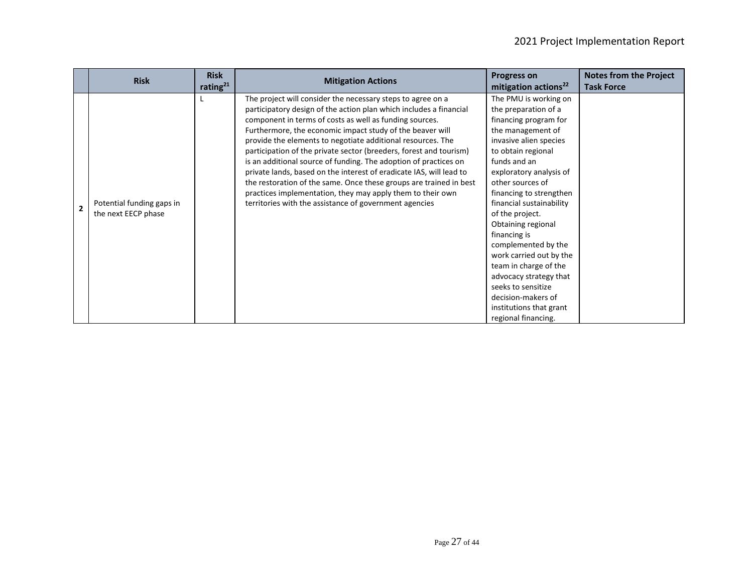|                | <b>Risk</b>                                      | <b>Risk</b><br>rating $^{21}$ | <b>Mitigation Actions</b>                                                                                                                                                                                                                                                                                                                                                                                                                                                                                                                                                                                                                                                                                                               | <b>Progress on</b><br>mitigation actions <sup>22</sup>                                                                                                                                                                                                                                                                                                                                                                                                                                                                        | <b>Notes from the Project</b><br><b>Task Force</b> |
|----------------|--------------------------------------------------|-------------------------------|-----------------------------------------------------------------------------------------------------------------------------------------------------------------------------------------------------------------------------------------------------------------------------------------------------------------------------------------------------------------------------------------------------------------------------------------------------------------------------------------------------------------------------------------------------------------------------------------------------------------------------------------------------------------------------------------------------------------------------------------|-------------------------------------------------------------------------------------------------------------------------------------------------------------------------------------------------------------------------------------------------------------------------------------------------------------------------------------------------------------------------------------------------------------------------------------------------------------------------------------------------------------------------------|----------------------------------------------------|
| $\overline{2}$ | Potential funding gaps in<br>the next EECP phase |                               | The project will consider the necessary steps to agree on a<br>participatory design of the action plan which includes a financial<br>component in terms of costs as well as funding sources.<br>Furthermore, the economic impact study of the beaver will<br>provide the elements to negotiate additional resources. The<br>participation of the private sector (breeders, forest and tourism)<br>is an additional source of funding. The adoption of practices on<br>private lands, based on the interest of eradicate IAS, will lead to<br>the restoration of the same. Once these groups are trained in best<br>practices implementation, they may apply them to their own<br>territories with the assistance of government agencies | The PMU is working on<br>the preparation of a<br>financing program for<br>the management of<br>invasive alien species<br>to obtain regional<br>funds and an<br>exploratory analysis of<br>other sources of<br>financing to strengthen<br>financial sustainability<br>of the project.<br>Obtaining regional<br>financing is<br>complemented by the<br>work carried out by the<br>team in charge of the<br>advocacy strategy that<br>seeks to sensitize<br>decision-makers of<br>institutions that grant<br>regional financing. |                                                    |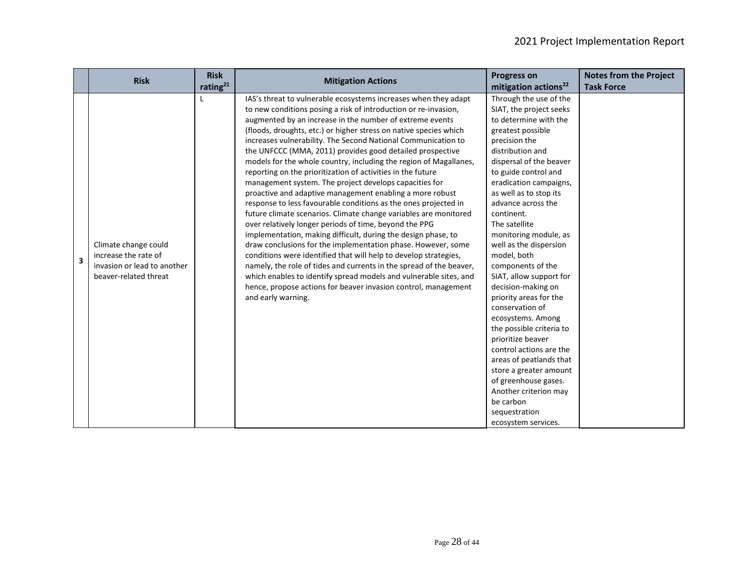|   | <b>Risk</b>                 | <b>Risk</b> | <b>Mitigation Actions</b>                                           | <b>Progress on</b>               | <b>Notes from the Project</b> |
|---|-----------------------------|-------------|---------------------------------------------------------------------|----------------------------------|-------------------------------|
|   |                             | rating $21$ |                                                                     | mitigation actions <sup>22</sup> | <b>Task Force</b>             |
|   |                             |             | IAS's threat to vulnerable ecosystems increases when they adapt     | Through the use of the           |                               |
|   |                             |             | to new conditions posing a risk of introduction or re-invasion,     | SIAT, the project seeks          |                               |
|   |                             |             | augmented by an increase in the number of extreme events            | to determine with the            |                               |
|   |                             |             | (floods, droughts, etc.) or higher stress on native species which   | greatest possible                |                               |
|   |                             |             | increases vulnerability. The Second National Communication to       | precision the                    |                               |
|   |                             |             | the UNFCCC (MMA, 2011) provides good detailed prospective           | distribution and                 |                               |
|   |                             |             | models for the whole country, including the region of Magallanes,   | dispersal of the beaver          |                               |
|   |                             |             | reporting on the prioritization of activities in the future         | to guide control and             |                               |
|   |                             |             | management system. The project develops capacities for              | eradication campaigns,           |                               |
|   |                             |             | proactive and adaptive management enabling a more robust            | as well as to stop its           |                               |
|   |                             |             | response to less favourable conditions as the ones projected in     | advance across the               |                               |
|   |                             |             | future climate scenarios. Climate change variables are monitored    | continent.                       |                               |
|   |                             |             | over relatively longer periods of time, beyond the PPG              | The satellite                    |                               |
|   |                             |             | implementation, making difficult, during the design phase, to       | monitoring module, as            |                               |
|   | Climate change could        |             | draw conclusions for the implementation phase. However, some        | well as the dispersion           |                               |
| 3 | increase the rate of        |             | conditions were identified that will help to develop strategies,    | model, both                      |                               |
|   | invasion or lead to another |             | namely, the role of tides and currents in the spread of the beaver, | components of the                |                               |
|   | beaver-related threat       |             | which enables to identify spread models and vulnerable sites, and   | SIAT, allow support for          |                               |
|   |                             |             | hence, propose actions for beaver invasion control, management      | decision-making on               |                               |
|   |                             |             | and early warning.                                                  | priority areas for the           |                               |
|   |                             |             |                                                                     | conservation of                  |                               |
|   |                             |             |                                                                     | ecosystems. Among                |                               |
|   |                             |             |                                                                     | the possible criteria to         |                               |
|   |                             |             |                                                                     | prioritize beaver                |                               |
|   |                             |             |                                                                     | control actions are the          |                               |
|   |                             |             |                                                                     | areas of peatlands that          |                               |
|   |                             |             |                                                                     | store a greater amount           |                               |
|   |                             |             |                                                                     | of greenhouse gases.             |                               |
|   |                             |             |                                                                     | Another criterion may            |                               |
|   |                             |             |                                                                     | be carbon                        |                               |
|   |                             |             |                                                                     | sequestration                    |                               |
|   |                             |             |                                                                     | ecosystem services.              |                               |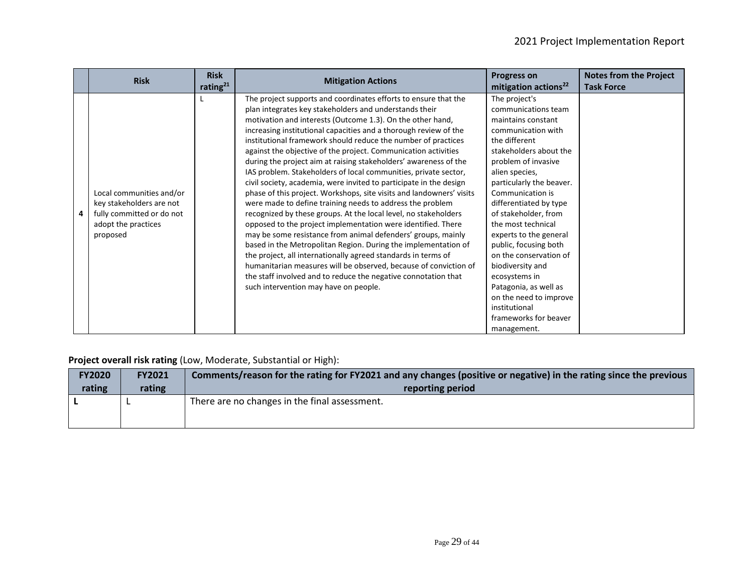| <b>Risk</b>                                                                                                          | <b>Risk</b><br>rating $21$ | <b>Mitigation Actions</b>                                                                                                                                                                                                                                                                                                                                                                                                                                                                                                                                                                                                                                                                                                                                                                                                                                                                                                                                                                                                                                                                                                                                                                                                                                             | <b>Progress on</b><br>mitigation actions <sup>22</sup>                                                                                                                                                                                                                                                                                                                                                                                                                                                                     | <b>Notes from the Project</b><br><b>Task Force</b> |
|----------------------------------------------------------------------------------------------------------------------|----------------------------|-----------------------------------------------------------------------------------------------------------------------------------------------------------------------------------------------------------------------------------------------------------------------------------------------------------------------------------------------------------------------------------------------------------------------------------------------------------------------------------------------------------------------------------------------------------------------------------------------------------------------------------------------------------------------------------------------------------------------------------------------------------------------------------------------------------------------------------------------------------------------------------------------------------------------------------------------------------------------------------------------------------------------------------------------------------------------------------------------------------------------------------------------------------------------------------------------------------------------------------------------------------------------|----------------------------------------------------------------------------------------------------------------------------------------------------------------------------------------------------------------------------------------------------------------------------------------------------------------------------------------------------------------------------------------------------------------------------------------------------------------------------------------------------------------------------|----------------------------------------------------|
| Local communities and/or<br>key stakeholders are not<br>fully committed or do not<br>adopt the practices<br>proposed |                            | The project supports and coordinates efforts to ensure that the<br>plan integrates key stakeholders and understands their<br>motivation and interests (Outcome 1.3). On the other hand,<br>increasing institutional capacities and a thorough review of the<br>institutional framework should reduce the number of practices<br>against the objective of the project. Communication activities<br>during the project aim at raising stakeholders' awareness of the<br>IAS problem. Stakeholders of local communities, private sector,<br>civil society, academia, were invited to participate in the design<br>phase of this project. Workshops, site visits and landowners' visits<br>were made to define training needs to address the problem<br>recognized by these groups. At the local level, no stakeholders<br>opposed to the project implementation were identified. There<br>may be some resistance from animal defenders' groups, mainly<br>based in the Metropolitan Region. During the implementation of<br>the project, all internationally agreed standards in terms of<br>humanitarian measures will be observed, because of conviction of<br>the staff involved and to reduce the negative connotation that<br>such intervention may have on people. | The project's<br>communications team<br>maintains constant<br>communication with<br>the different<br>stakeholders about the<br>problem of invasive<br>alien species,<br>particularly the beaver.<br>Communication is<br>differentiated by type<br>of stakeholder, from<br>the most technical<br>experts to the general<br>public, focusing both<br>on the conservation of<br>biodiversity and<br>ecosystems in<br>Patagonia, as well as<br>on the need to improve<br>institutional<br>frameworks for beaver<br>management. |                                                    |

## **Project overall risk rating** (Low, Moderate, Substantial or High):

| <b>FY2020</b> | <b>FY2021</b> | Comments/reason for the rating for FY2021 and any changes (positive or negative) in the rating since the previous |
|---------------|---------------|-------------------------------------------------------------------------------------------------------------------|
| rating        | rating        | reporting period                                                                                                  |
|               |               | There are no changes in the final assessment.                                                                     |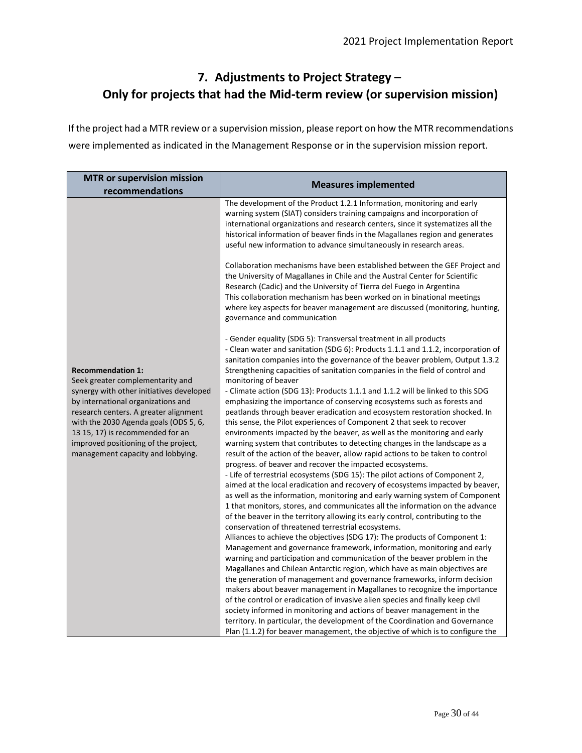# **7. Adjustments to Project Strategy – Only for projects that had the Mid-term review (or supervision mission)**

If the project had a MTR review or a supervision mission, please report on how the MTR recommendations were implemented as indicated in the Management Response or in the supervision mission report.

| <b>MTR or supervision mission</b><br>recommendations                                                                                                                                                                                                                              | <b>Measures implemented</b>                                                                                                                                                                                                                                                                                                                                                                                                                                                                                                                                                                                                                                                                                                                                                                                                                                                                                                                                                                                                                                                                                                                                                                                                                               |
|-----------------------------------------------------------------------------------------------------------------------------------------------------------------------------------------------------------------------------------------------------------------------------------|-----------------------------------------------------------------------------------------------------------------------------------------------------------------------------------------------------------------------------------------------------------------------------------------------------------------------------------------------------------------------------------------------------------------------------------------------------------------------------------------------------------------------------------------------------------------------------------------------------------------------------------------------------------------------------------------------------------------------------------------------------------------------------------------------------------------------------------------------------------------------------------------------------------------------------------------------------------------------------------------------------------------------------------------------------------------------------------------------------------------------------------------------------------------------------------------------------------------------------------------------------------|
|                                                                                                                                                                                                                                                                                   | The development of the Product 1.2.1 Information, monitoring and early<br>warning system (SIAT) considers training campaigns and incorporation of<br>international organizations and research centers, since it systematizes all the<br>historical information of beaver finds in the Magallanes region and generates<br>useful new information to advance simultaneously in research areas.                                                                                                                                                                                                                                                                                                                                                                                                                                                                                                                                                                                                                                                                                                                                                                                                                                                              |
|                                                                                                                                                                                                                                                                                   | Collaboration mechanisms have been established between the GEF Project and<br>the University of Magallanes in Chile and the Austral Center for Scientific<br>Research (Cadic) and the University of Tierra del Fuego in Argentina<br>This collaboration mechanism has been worked on in binational meetings<br>where key aspects for beaver management are discussed (monitoring, hunting,<br>governance and communication                                                                                                                                                                                                                                                                                                                                                                                                                                                                                                                                                                                                                                                                                                                                                                                                                                |
| <b>Recommendation 1:</b><br>Seek greater complementarity and                                                                                                                                                                                                                      | - Gender equality (SDG 5): Transversal treatment in all products<br>- Clean water and sanitation (SDG 6): Products 1.1.1 and 1.1.2, incorporation of<br>sanitation companies into the governance of the beaver problem, Output 1.3.2<br>Strengthening capacities of sanitation companies in the field of control and<br>monitoring of beaver                                                                                                                                                                                                                                                                                                                                                                                                                                                                                                                                                                                                                                                                                                                                                                                                                                                                                                              |
| synergy with other initiatives developed<br>by international organizations and<br>research centers. A greater alignment<br>with the 2030 Agenda goals (ODS 5, 6,<br>13 15, 17) is recommended for an<br>improved positioning of the project,<br>management capacity and lobbying. | - Climate action (SDG 13): Products 1.1.1 and 1.1.2 will be linked to this SDG<br>emphasizing the importance of conserving ecosystems such as forests and<br>peatlands through beaver eradication and ecosystem restoration shocked. In<br>this sense, the Pilot experiences of Component 2 that seek to recover<br>environments impacted by the beaver, as well as the monitoring and early<br>warning system that contributes to detecting changes in the landscape as a<br>result of the action of the beaver, allow rapid actions to be taken to control<br>progress. of beaver and recover the impacted ecosystems.<br>- Life of terrestrial ecosystems (SDG 15): The pilot actions of Component 2,<br>aimed at the local eradication and recovery of ecosystems impacted by beaver,<br>as well as the information, monitoring and early warning system of Component<br>1 that monitors, stores, and communicates all the information on the advance<br>of the beaver in the territory allowing its early control, contributing to the<br>conservation of threatened terrestrial ecosystems.<br>Alliances to achieve the objectives (SDG 17): The products of Component 1:<br>Management and governance framework, information, monitoring and early |
|                                                                                                                                                                                                                                                                                   | warning and participation and communication of the beaver problem in the<br>Magallanes and Chilean Antarctic region, which have as main objectives are<br>the generation of management and governance frameworks, inform decision<br>makers about beaver management in Magallanes to recognize the importance<br>of the control or eradication of invasive alien species and finally keep civil<br>society informed in monitoring and actions of beaver management in the<br>territory. In particular, the development of the Coordination and Governance<br>Plan (1.1.2) for beaver management, the objective of which is to configure the                                                                                                                                                                                                                                                                                                                                                                                                                                                                                                                                                                                                               |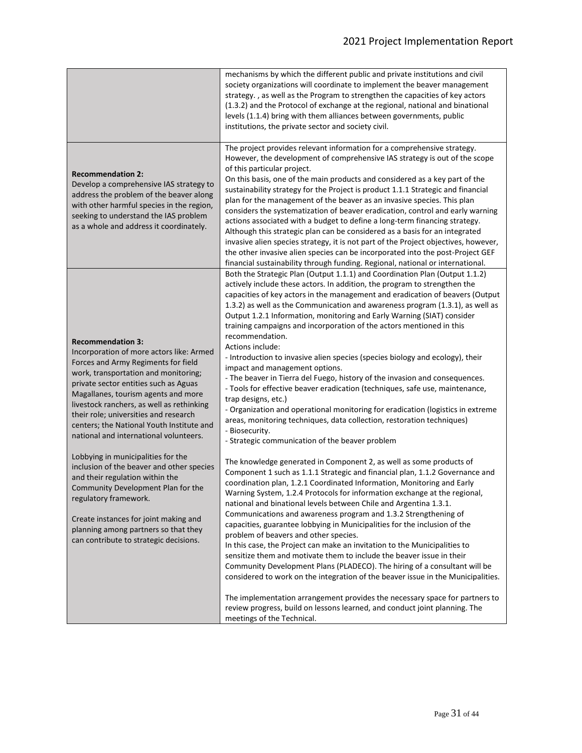|                                                                                                                                                                                                                                                                                                                                                                                                                                                                                                                                                                                                                                                                                                                                  | mechanisms by which the different public and private institutions and civil<br>society organizations will coordinate to implement the beaver management<br>strategy., as well as the Program to strengthen the capacities of key actors<br>(1.3.2) and the Protocol of exchange at the regional, national and binational<br>levels (1.1.4) bring with them alliances between governments, public<br>institutions, the private sector and society civil.                                                                                                                                                                                                                                                                                                                                                                                                                                                                                                                                                                                                                                                                                                                                                                                                                                                                                                                                                                                                                                                                                                                                                                                                                                                                                                                                                                                                                                                                                                                                                                                                                                                                                                      |
|----------------------------------------------------------------------------------------------------------------------------------------------------------------------------------------------------------------------------------------------------------------------------------------------------------------------------------------------------------------------------------------------------------------------------------------------------------------------------------------------------------------------------------------------------------------------------------------------------------------------------------------------------------------------------------------------------------------------------------|--------------------------------------------------------------------------------------------------------------------------------------------------------------------------------------------------------------------------------------------------------------------------------------------------------------------------------------------------------------------------------------------------------------------------------------------------------------------------------------------------------------------------------------------------------------------------------------------------------------------------------------------------------------------------------------------------------------------------------------------------------------------------------------------------------------------------------------------------------------------------------------------------------------------------------------------------------------------------------------------------------------------------------------------------------------------------------------------------------------------------------------------------------------------------------------------------------------------------------------------------------------------------------------------------------------------------------------------------------------------------------------------------------------------------------------------------------------------------------------------------------------------------------------------------------------------------------------------------------------------------------------------------------------------------------------------------------------------------------------------------------------------------------------------------------------------------------------------------------------------------------------------------------------------------------------------------------------------------------------------------------------------------------------------------------------------------------------------------------------------------------------------------------------|
| <b>Recommendation 2:</b><br>Develop a comprehensive IAS strategy to<br>address the problem of the beaver along<br>with other harmful species in the region,<br>seeking to understand the IAS problem<br>as a whole and address it coordinately.                                                                                                                                                                                                                                                                                                                                                                                                                                                                                  | The project provides relevant information for a comprehensive strategy.<br>However, the development of comprehensive IAS strategy is out of the scope<br>of this particular project.<br>On this basis, one of the main products and considered as a key part of the<br>sustainability strategy for the Project is product 1.1.1 Strategic and financial<br>plan for the management of the beaver as an invasive species. This plan<br>considers the systematization of beaver eradication, control and early warning<br>actions associated with a budget to define a long-term financing strategy.<br>Although this strategic plan can be considered as a basis for an integrated<br>invasive alien species strategy, it is not part of the Project objectives, however,<br>the other invasive alien species can be incorporated into the post-Project GEF<br>financial sustainability through funding. Regional, national or international.                                                                                                                                                                                                                                                                                                                                                                                                                                                                                                                                                                                                                                                                                                                                                                                                                                                                                                                                                                                                                                                                                                                                                                                                                 |
| <b>Recommendation 3:</b><br>Incorporation of more actors like: Armed<br>Forces and Army Regiments for field<br>work, transportation and monitoring;<br>private sector entities such as Aguas<br>Magallanes, tourism agents and more<br>livestock ranchers, as well as rethinking<br>their role; universities and research<br>centers; the National Youth Institute and<br>national and international volunteers.<br>Lobbying in municipalities for the<br>inclusion of the beaver and other species<br>and their regulation within the<br>Community Development Plan for the<br>regulatory framework.<br>Create instances for joint making and<br>planning among partners so that they<br>can contribute to strategic decisions. | Both the Strategic Plan (Output 1.1.1) and Coordination Plan (Output 1.1.2)<br>actively include these actors. In addition, the program to strengthen the<br>capacities of key actors in the management and eradication of beavers (Output<br>1.3.2) as well as the Communication and awareness program (1.3.1), as well as<br>Output 1.2.1 Information, monitoring and Early Warning (SIAT) consider<br>training campaigns and incorporation of the actors mentioned in this<br>recommendation.<br>Actions include:<br>- Introduction to invasive alien species (species biology and ecology), their<br>impact and management options.<br>- The beaver in Tierra del Fuego, history of the invasion and consequences.<br>- Tools for effective beaver eradication (techniques, safe use, maintenance,<br>trap designs, etc.)<br>- Organization and operational monitoring for eradication (logistics in extreme<br>areas, monitoring techniques, data collection, restoration techniques)<br>- Biosecurity.<br>- Strategic communication of the beaver problem<br>The knowledge generated in Component 2, as well as some products of<br>Component 1 such as 1.1.1 Strategic and financial plan, 1.1.2 Governance and<br>coordination plan, 1.2.1 Coordinated Information, Monitoring and Early<br>Warning System, 1.2.4 Protocols for information exchange at the regional,<br>national and binational levels between Chile and Argentina 1.3.1.<br>Communications and awareness program and 1.3.2 Strengthening of<br>capacities, guarantee lobbying in Municipalities for the inclusion of the<br>problem of beavers and other species.<br>In this case, the Project can make an invitation to the Municipalities to<br>sensitize them and motivate them to include the beaver issue in their<br>Community Development Plans (PLADECO). The hiring of a consultant will be<br>considered to work on the integration of the beaver issue in the Municipalities.<br>The implementation arrangement provides the necessary space for partners to<br>review progress, build on lessons learned, and conduct joint planning. The<br>meetings of the Technical. |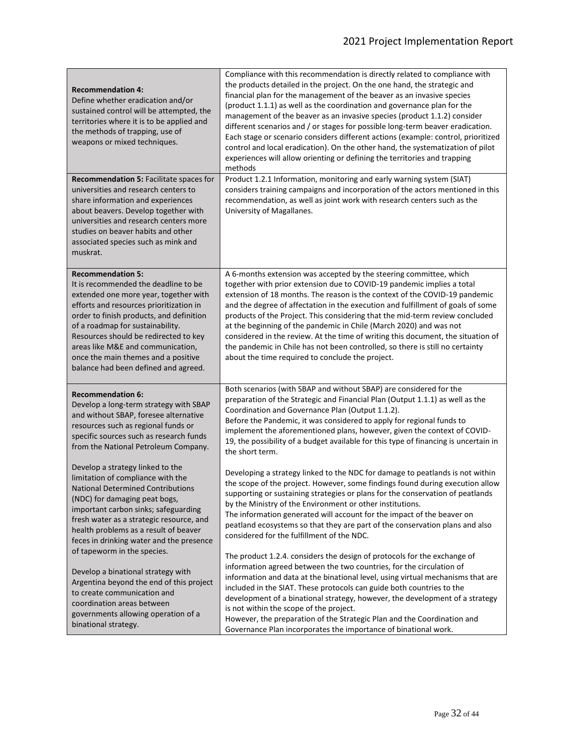| <b>Recommendation 4:</b><br>Define whether eradication and/or<br>sustained control will be attempted, the<br>territories where it is to be applied and<br>the methods of trapping, use of<br>weapons or mixed techniques.                                                                                                                                                                         | Compliance with this recommendation is directly related to compliance with<br>the products detailed in the project. On the one hand, the strategic and<br>financial plan for the management of the beaver as an invasive species<br>(product 1.1.1) as well as the coordination and governance plan for the<br>management of the beaver as an invasive species (product 1.1.2) consider<br>different scenarios and / or stages for possible long-term beaver eradication.<br>Each stage or scenario considers different actions (example: control, prioritized<br>control and local eradication). On the other hand, the systematization of pilot<br>experiences will allow orienting or defining the territories and trapping<br>methods |  |  |  |  |
|---------------------------------------------------------------------------------------------------------------------------------------------------------------------------------------------------------------------------------------------------------------------------------------------------------------------------------------------------------------------------------------------------|-------------------------------------------------------------------------------------------------------------------------------------------------------------------------------------------------------------------------------------------------------------------------------------------------------------------------------------------------------------------------------------------------------------------------------------------------------------------------------------------------------------------------------------------------------------------------------------------------------------------------------------------------------------------------------------------------------------------------------------------|--|--|--|--|
| <b>Recommendation 5: Facilitate spaces for</b><br>universities and research centers to<br>share information and experiences<br>about beavers. Develop together with<br>universities and research centers more<br>studies on beaver habits and other<br>associated species such as mink and<br>muskrat.                                                                                            | Product 1.2.1 Information, monitoring and early warning system (SIAT)<br>considers training campaigns and incorporation of the actors mentioned in this<br>recommendation, as well as joint work with research centers such as the<br>University of Magallanes.                                                                                                                                                                                                                                                                                                                                                                                                                                                                           |  |  |  |  |
| <b>Recommendation 5:</b><br>It is recommended the deadline to be<br>extended one more year, together with<br>efforts and resources prioritization in<br>order to finish products, and definition<br>of a roadmap for sustainability.<br>Resources should be redirected to key<br>areas like M&E and communication,<br>once the main themes and a positive<br>balance had been defined and agreed. | A 6-months extension was accepted by the steering committee, which<br>together with prior extension due to COVID-19 pandemic implies a total<br>extension of 18 months. The reason is the context of the COVID-19 pandemic<br>and the degree of affectation in the execution and fulfillment of goals of some<br>products of the Project. This considering that the mid-term review concluded<br>at the beginning of the pandemic in Chile (March 2020) and was not<br>considered in the review. At the time of writing this document, the situation of<br>the pandemic in Chile has not been controlled, so there is still no certainty<br>about the time required to conclude the project.                                              |  |  |  |  |
| <b>Recommendation 6:</b><br>Develop a long-term strategy with SBAP<br>and without SBAP, foresee alternative<br>resources such as regional funds or<br>specific sources such as research funds<br>from the National Petroleum Company.                                                                                                                                                             | Both scenarios (with SBAP and without SBAP) are considered for the<br>preparation of the Strategic and Financial Plan (Output 1.1.1) as well as the<br>Coordination and Governance Plan (Output 1.1.2).<br>Before the Pandemic, it was considered to apply for regional funds to<br>implement the aforementioned plans, however, given the context of COVID-<br>19, the possibility of a budget available for this type of financing is uncertain in<br>the short term.                                                                                                                                                                                                                                                                   |  |  |  |  |
| Develop a strategy linked to the<br>limitation of compliance with the<br><b>National Determined Contributions</b><br>(NDC) for damaging peat bogs,<br>important carbon sinks; safeguarding<br>fresh water as a strategic resource, and<br>health problems as a result of beaver<br>feces in drinking water and the presence                                                                       | Developing a strategy linked to the NDC for damage to peatlands is not within<br>the scope of the project. However, some findings found during execution allow<br>supporting or sustaining strategies or plans for the conservation of peatlands<br>by the Ministry of the Environment or other institutions.<br>The information generated will account for the impact of the beaver on<br>peatland ecosystems so that they are part of the conservation plans and also<br>considered for the fulfillment of the NDC.                                                                                                                                                                                                                     |  |  |  |  |
| of tapeworm in the species.<br>Develop a binational strategy with<br>Argentina beyond the end of this project<br>to create communication and<br>coordination areas between<br>governments allowing operation of a<br>binational strategy.                                                                                                                                                         | The product 1.2.4. considers the design of protocols for the exchange of<br>information agreed between the two countries, for the circulation of<br>information and data at the binational level, using virtual mechanisms that are<br>included in the SIAT. These protocols can guide both countries to the<br>development of a binational strategy, however, the development of a strategy<br>is not within the scope of the project.<br>However, the preparation of the Strategic Plan and the Coordination and<br>Governance Plan incorporates the importance of binational work.                                                                                                                                                     |  |  |  |  |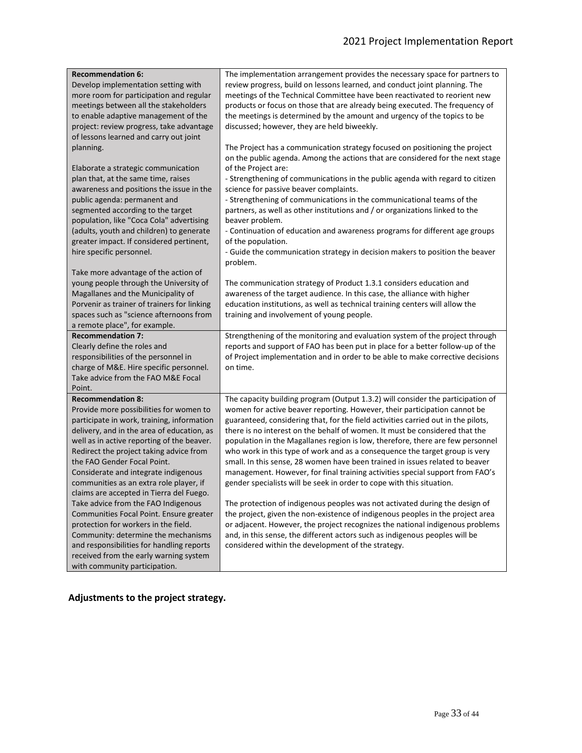| <b>Recommendation 6:</b>                                                | The implementation arrangement provides the necessary space for partners to       |
|-------------------------------------------------------------------------|-----------------------------------------------------------------------------------|
| Develop implementation setting with                                     | review progress, build on lessons learned, and conduct joint planning. The        |
| more room for participation and regular                                 | meetings of the Technical Committee have been reactivated to reorient new         |
| meetings between all the stakeholders                                   | products or focus on those that are already being executed. The frequency of      |
| to enable adaptive management of the                                    | the meetings is determined by the amount and urgency of the topics to be          |
| project: review progress, take advantage                                | discussed; however, they are held biweekly.                                       |
| of lessons learned and carry out joint                                  |                                                                                   |
| planning.                                                               | The Project has a communication strategy focused on positioning the project       |
|                                                                         | on the public agenda. Among the actions that are considered for the next stage    |
| Elaborate a strategic communication                                     | of the Project are:                                                               |
| plan that, at the same time, raises                                     | - Strengthening of communications in the public agenda with regard to citizen     |
| awareness and positions the issue in the                                | science for passive beaver complaints.                                            |
| public agenda: permanent and                                            | - Strengthening of communications in the communicational teams of the             |
| segmented according to the target                                       | partners, as well as other institutions and / or organizations linked to the      |
| population, like "Coca Cola" advertising                                | beaver problem.                                                                   |
| (adults, youth and children) to generate                                | - Continuation of education and awareness programs for different age groups       |
| greater impact. If considered pertinent,                                | of the population.                                                                |
| hire specific personnel.                                                | - Guide the communication strategy in decision makers to position the beaver      |
|                                                                         | problem.                                                                          |
| Take more advantage of the action of                                    |                                                                                   |
| young people through the University of                                  | The communication strategy of Product 1.3.1 considers education and               |
| Magallanes and the Municipality of                                      | awareness of the target audience. In this case, the alliance with higher          |
| Porvenir as trainer of trainers for linking                             | education institutions, as well as technical training centers will allow the      |
| spaces such as "science afternoons from                                 | training and involvement of young people.                                         |
| a remote place", for example.                                           |                                                                                   |
| <b>Recommendation 7:</b>                                                | Strengthening of the monitoring and evaluation system of the project through      |
| Clearly define the roles and                                            | reports and support of FAO has been put in place for a better follow-up of the    |
| responsibilities of the personnel in                                    | of Project implementation and in order to be able to make corrective decisions    |
| charge of M&E. Hire specific personnel.                                 | on time.                                                                          |
| Take advice from the FAO M&E Focal                                      |                                                                                   |
| Point.                                                                  |                                                                                   |
| <b>Recommendation 8:</b>                                                | The capacity building program (Output 1.3.2) will consider the participation of   |
| Provide more possibilities for women to                                 | women for active beaver reporting. However, their participation cannot be         |
| participate in work, training, information                              | guaranteed, considering that, for the field activities carried out in the pilots, |
| delivery, and in the area of education, as                              | there is no interest on the behalf of women. It must be considered that the       |
| well as in active reporting of the beaver.                              | population in the Magallanes region is low, therefore, there are few personnel    |
| Redirect the project taking advice from                                 | who work in this type of work and as a consequence the target group is very       |
| the FAO Gender Focal Point.                                             | small. In this sense, 28 women have been trained in issues related to beaver      |
| Considerate and integrate indigenous                                    | management. However, for final training activities special support from FAO's     |
| communities as an extra role player, if                                 | gender specialists will be seek in order to cope with this situation.             |
| claims are accepted in Tierra del Fuego.                                |                                                                                   |
| Take advice from the FAO Indigenous                                     | The protection of indigenous peoples was not activated during the design of       |
| Communities Focal Point. Ensure greater                                 | the project, given the non-existence of indigenous peoples in the project area    |
| protection for workers in the field.                                    | or adjacent. However, the project recognizes the national indigenous problems     |
| Community: determine the mechanisms                                     | and, in this sense, the different actors such as indigenous peoples will be       |
| and responsibilities for handling reports                               | considered within the development of the strategy.                                |
| received from the early warning system<br>with community participation. |                                                                                   |
|                                                                         |                                                                                   |

**Adjustments to the project strategy.**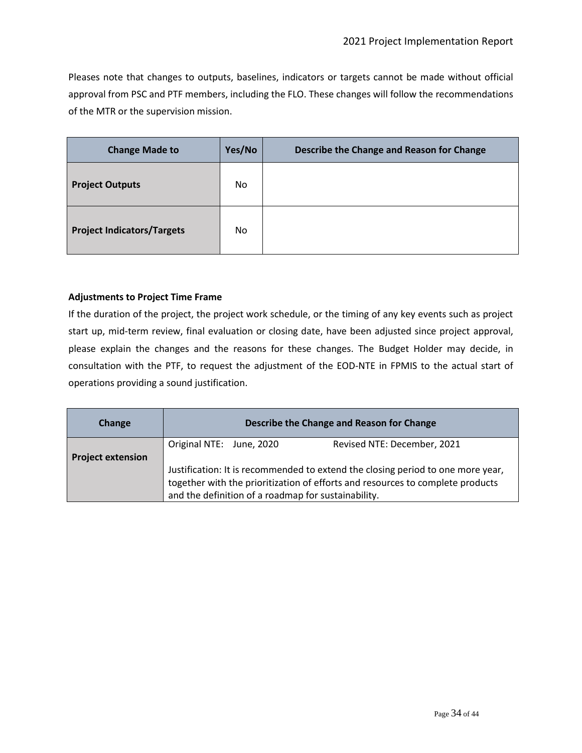Pleases note that changes to outputs, baselines, indicators or targets cannot be made without official approval from PSC and PTF members, including the FLO. These changes will follow the recommendations of the MTR or the supervision mission.

| <b>Change Made to</b>             | Yes/No | Describe the Change and Reason for Change |
|-----------------------------------|--------|-------------------------------------------|
| <b>Project Outputs</b>            | No.    |                                           |
| <b>Project Indicators/Targets</b> | No     |                                           |

### **Adjustments to Project Time Frame**

If the duration of the project, the project work schedule, or the timing of any key events such as project start up, mid-term review, final evaluation or closing date, have been adjusted since project approval, please explain the changes and the reasons for these changes. The Budget Holder may decide, in consultation with the PTF, to request the adjustment of the EOD-NTE in FPMIS to the actual start of operations providing a sound justification.

| Change                   | Describe the Change and Reason for Change                                                                                                                                                                                |  |                             |  |  |  |  |
|--------------------------|--------------------------------------------------------------------------------------------------------------------------------------------------------------------------------------------------------------------------|--|-----------------------------|--|--|--|--|
| <b>Project extension</b> | Original NTE: June, 2020                                                                                                                                                                                                 |  | Revised NTE: December, 2021 |  |  |  |  |
|                          | Justification: It is recommended to extend the closing period to one more year,<br>together with the prioritization of efforts and resources to complete products<br>and the definition of a roadmap for sustainability. |  |                             |  |  |  |  |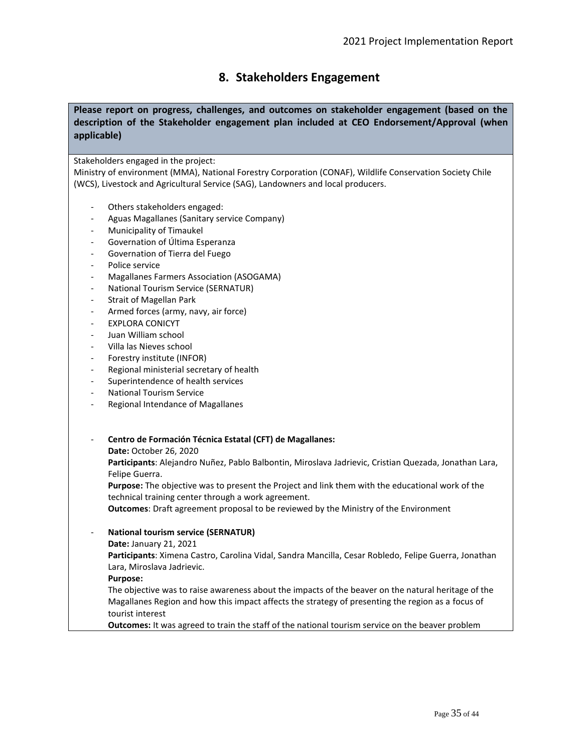## **8. Stakeholders Engagement**

### **Please report on progress, challenges, and outcomes on stakeholder engagement (based on the description of the Stakeholder engagement plan included at CEO Endorsement/Approval (when applicable)**

Stakeholders engaged in the project:

Ministry of environment (MMA), National Forestry Corporation (CONAF), Wildlife Conservation Society Chile (WCS), Livestock and Agricultural Service (SAG), Landowners and local producers.

- Others stakeholders engaged:
- Aguas Magallanes (Sanitary service Company)
- Municipality of Timaukel
- Governation of Última Esperanza
- Governation of Tierra del Fuego
- Police service
- Magallanes Farmers Association (ASOGAMA)
- National Tourism Service (SERNATUR)
- Strait of Magellan Park
- Armed forces (army, navy, air force)
- EXPLORA CONICYT
- Juan William school
- Villa las Nieves school
- Forestry institute (INFOR)
- Regional ministerial secretary of health
- Superintendence of health services
- National Tourism Service
- Regional Intendance of Magallanes

- **Centro de Formación Técnica Estatal (CFT) de Magallanes:** 

**Date:** October 26, 2020

**Participants**: Alejandro Nuñez, Pablo Balbontin, Miroslava Jadrievic, Cristian Quezada, Jonathan Lara, Felipe Guerra.

**Purpose:** The objective was to present the Project and link them with the educational work of the technical training center through a work agreement.

**Outcomes**: Draft agreement proposal to be reviewed by the Ministry of the Environment

#### - **National tourism service (SERNATUR)**

**Date:** January 21, 2021

**Participants**: Ximena Castro, Carolina Vidal, Sandra Mancilla, Cesar Robledo, Felipe Guerra, Jonathan Lara, Miroslava Jadrievic.

#### **Purpose:**

The objective was to raise awareness about the impacts of the beaver on the natural heritage of the Magallanes Region and how this impact affects the strategy of presenting the region as a focus of tourist interest

**Outcomes:** It was agreed to train the staff of the national tourism service on the beaver problem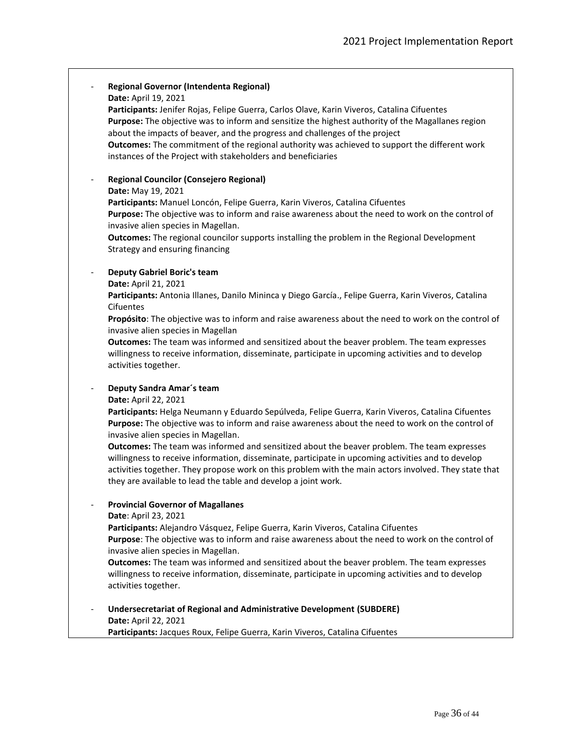|                              | Regional Governor (Intendenta Regional)<br>Date: April 19, 2021<br>Participants: Jenifer Rojas, Felipe Guerra, Carlos Olave, Karin Viveros, Catalina Cifuentes<br>Purpose: The objective was to inform and sensitize the highest authority of the Magallanes region<br>about the impacts of beaver, and the progress and challenges of the project<br>Outcomes: The commitment of the regional authority was achieved to support the different work<br>instances of the Project with stakeholders and beneficiaries                                                                                                                                                                |
|------------------------------|------------------------------------------------------------------------------------------------------------------------------------------------------------------------------------------------------------------------------------------------------------------------------------------------------------------------------------------------------------------------------------------------------------------------------------------------------------------------------------------------------------------------------------------------------------------------------------------------------------------------------------------------------------------------------------|
| $\qquad \qquad \blacksquare$ | <b>Regional Councilor (Consejero Regional)</b><br>Date: May 19, 2021<br>Participants: Manuel Loncón, Felipe Guerra, Karin Viveros, Catalina Cifuentes<br>Purpose: The objective was to inform and raise awareness about the need to work on the control of<br>invasive alien species in Magellan.<br><b>Outcomes:</b> The regional councilor supports installing the problem in the Regional Development<br>Strategy and ensuring financing                                                                                                                                                                                                                                        |
| $\overline{\phantom{a}}$     | <b>Deputy Gabriel Boric's team</b><br>Date: April 21, 2021<br>Participants: Antonia Illanes, Danilo Mininca y Diego García., Felipe Guerra, Karin Viveros, Catalina<br>Cifuentes<br>Propósito: The objective was to inform and raise awareness about the need to work on the control of<br>invasive alien species in Magellan<br>Outcomes: The team was informed and sensitized about the beaver problem. The team expresses<br>willingness to receive information, disseminate, participate in upcoming activities and to develop<br>activities together.                                                                                                                         |
|                              | Deputy Sandra Amar's team<br>Date: April 22, 2021<br>Participants: Helga Neumann y Eduardo Sepúlveda, Felipe Guerra, Karin Viveros, Catalina Cifuentes<br>Purpose: The objective was to inform and raise awareness about the need to work on the control of<br>invasive alien species in Magellan.<br>Outcomes: The team was informed and sensitized about the beaver problem. The team expresses<br>willingness to receive information, disseminate, participate in upcoming activities and to develop<br>activities together. They propose work on this problem with the main actors involved. They state that<br>they are available to lead the table and develop a joint work. |
|                              | <b>Provincial Governor of Magallanes</b><br>Date: April 23, 2021<br>Participants: Alejandro Vásquez, Felipe Guerra, Karin Viveros, Catalina Cifuentes<br>Purpose: The objective was to inform and raise awareness about the need to work on the control of<br>invasive alien species in Magellan.<br>Outcomes: The team was informed and sensitized about the beaver problem. The team expresses<br>willingness to receive information, disseminate, participate in upcoming activities and to develop<br>activities together.                                                                                                                                                     |
|                              | Undersecretariat of Regional and Administrative Development (SUBDERE)<br>Date: April 22, 2021<br>Participants: Jacques Roux, Felipe Guerra, Karin Viveros, Catalina Cifuentes                                                                                                                                                                                                                                                                                                                                                                                                                                                                                                      |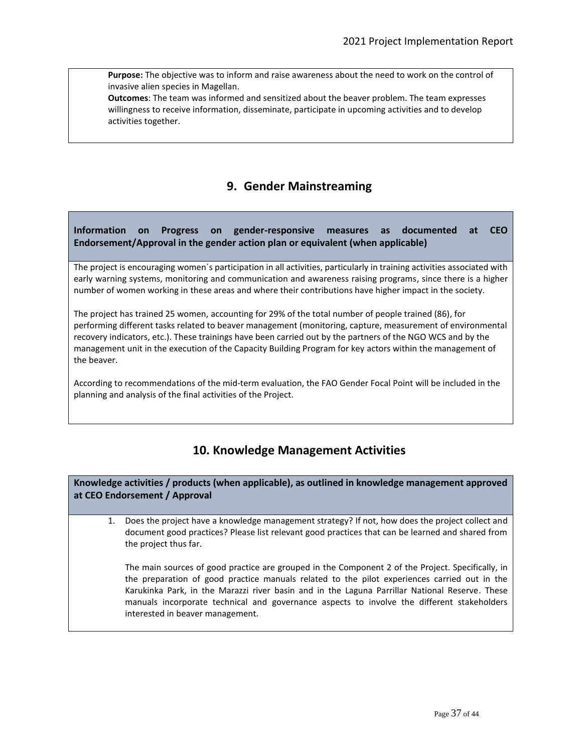**Purpose:** The objective was to inform and raise awareness about the need to work on the control of invasive alien species in Magellan.

**Outcomes**: The team was informed and sensitized about the beaver problem. The team expresses willingness to receive information, disseminate, participate in upcoming activities and to develop activities together.

# **9. Gender Mainstreaming**

## **Information on Progress on gender-responsive measures as documented at CEO Endorsement/Approval in the gender action plan or equivalent (when applicable)**

The project is encouraging women´s participation in all activities, particularly in training activities associated with early warning systems, monitoring and communication and awareness raising programs, since there is a higher number of women working in these areas and where their contributions have higher impact in the society.

The project has trained 25 women, accounting for 29% of the total number of people trained (86), for performing different tasks related to beaver management (monitoring, capture, measurement of environmental recovery indicators, etc.). These trainings have been carried out by the partners of the NGO WCS and by the management unit in the execution of the Capacity Building Program for key actors within the management of the beaver.

According to recommendations of the mid-term evaluation, the FAO Gender Focal Point will be included in the planning and analysis of the final activities of the Project.

# **10. Knowledge Management Activities**

**Knowledge activities / products (when applicable), as outlined in knowledge management approved at CEO Endorsement / Approval**

1. Does the project have a knowledge management strategy? If not, how does the project collect and document good practices? Please list relevant good practices that can be learned and shared from the project thus far.

The main sources of good practice are grouped in the Component 2 of the Project. Specifically, in the preparation of good practice manuals related to the pilot experiences carried out in the Karukinka Park, in the Marazzi river basin and in the Laguna Parrillar National Reserve. These manuals incorporate technical and governance aspects to involve the different stakeholders interested in beaver management.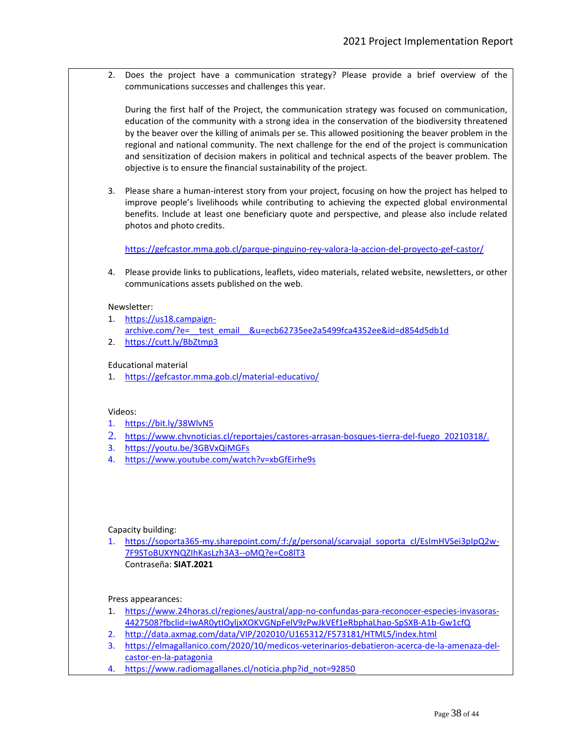2. Does the project have a communication strategy? Please provide a brief overview of the communications successes and challenges this year.

During the first half of the Project, the communication strategy was focused on communication, education of the community with a strong idea in the conservation of the biodiversity threatened by the beaver over the killing of animals per se. This allowed positioning the beaver problem in the regional and national community. The next challenge for the end of the project is communication and sensitization of decision makers in political and technical aspects of the beaver problem. The objective is to ensure the financial sustainability of the project.

3. Please share a human-interest story from your project, focusing on how the project has helped to improve people's livelihoods while contributing to achieving the expected global environmental benefits. Include at least one beneficiary quote and perspective, and please also include related photos and photo credits.

<https://gefcastor.mma.gob.cl/parque-pinguino-rey-valora-la-accion-del-proyecto-gef-castor/>

4. Please provide links to publications, leaflets, video materials, related website, newsletters, or other communications assets published on the web.

#### Newsletter:

- 1. [https://us18.campaign](https://us18.campaign-archive.com/?e=__test_email__&u=ecb62735ee2a5499fca4352ee&id=d854d5db1d)archive.com/?e= test email &u=ecb62735ee2a5499fca4352ee&id=d854d5db1d 2. <https://cutt.ly/BbZtmp3>
- Educational material
- 1. <https://gefcastor.mma.gob.cl/material-educativo/>

#### Videos:

- 1. <https://bit.ly/38WlvN5>
- 2. [https://www.chvnoticias.cl/reportajes/castores-arrasan-bosques-tierra-del-fuego\\_20210318/](https://www.chvnoticias.cl/reportajes/castores-arrasan-bosques-tierra-del-fuego_20210318/).
- 3. <https://youtu.be/3GBVxQiMGFs>
- 4. <https://www.youtube.com/watch?v=xbGfEirhe9s>

#### Capacity building:

1. [https://soporta365-my.sharepoint.com/:f:/g/personal/scarvajal\\_soporta\\_cl/EsImHVSei3pIpQ2w-](https://soporta365-my.sharepoint.com/:f:/g/personal/scarvajal_soporta_cl/EsImHVSei3pIpQ2w-7F9SToBUXYNQZIhKasLzh3A3--oMQ?e=Co8lT3)[7F9SToBUXYNQZIhKasLzh3A3--oMQ?e=Co8lT3](https://soporta365-my.sharepoint.com/:f:/g/personal/scarvajal_soporta_cl/EsImHVSei3pIpQ2w-7F9SToBUXYNQZIhKasLzh3A3--oMQ?e=Co8lT3) Contraseña: **SIAT.2021**

Press appearances:

- 1. [https://www.24horas.cl/regiones/austral/app-no-confundas-para-reconocer-especies-invasoras-](https://www.24horas.cl/regiones/austral/app-no-confundas-para-reconocer-especies-invasoras-4427508?fbclid=IwAR0ytIOyljxXOKVGNpFelV9zPwJkVEf1eRbphaLhao-SpSXB-A1b-Gw1cfQ)[4427508?fbclid=IwAR0ytIOyljxXOKVGNpFelV9zPwJkVEf1eRbphaLhao-SpSXB-A1b-Gw1cfQ](https://www.24horas.cl/regiones/austral/app-no-confundas-para-reconocer-especies-invasoras-4427508?fbclid=IwAR0ytIOyljxXOKVGNpFelV9zPwJkVEf1eRbphaLhao-SpSXB-A1b-Gw1cfQ)
- 2. http://data.axmag.com/data/VIP/202010/U165312/F573181/HTML5/index.html
- 3. [https://elmagallanico.com/2020/10/medicos-veterinarios-debatieron-acerca-de-la-amenaza-del](https://elmagallanico.com/2020/10/medicos-veterinarios-debatieron-acerca-de-la-amenaza-del-castor-en-la-patagonia)[castor-en-la-patagonia](https://elmagallanico.com/2020/10/medicos-veterinarios-debatieron-acerca-de-la-amenaza-del-castor-en-la-patagonia)
- 4. [https://www.radiomagallanes.cl/noticia.php?id\\_not=92850](https://www.radiomagallanes.cl/noticia.php?id_not=92850)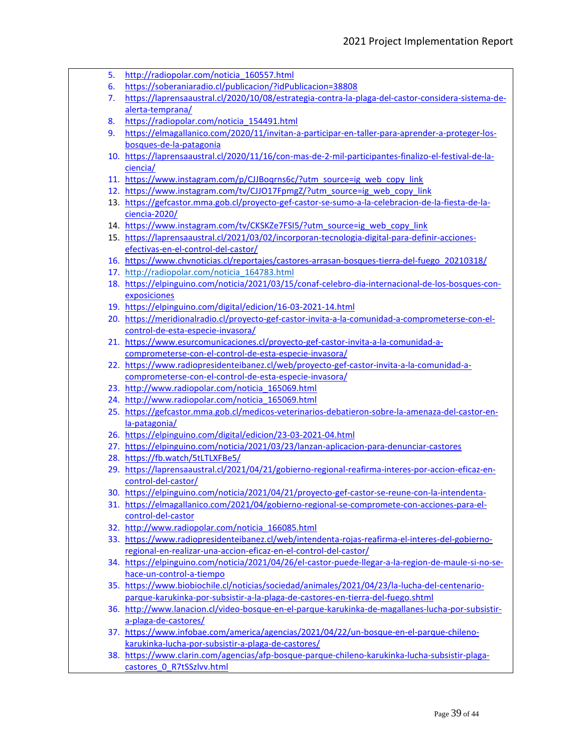- 5. [http://radiopolar.com/noticia\\_160557.html](http://radiopolar.com/noticia_160557.html)
- 6. <https://soberaniaradio.cl/publicacion/?idPublicacion=38808>
- 7. [https://laprensaaustral.cl/2020/10/08/estrategia-contra-la-plaga-del-castor-considera-sistema-de](https://laprensaaustral.cl/2020/10/08/estrategia-contra-la-plaga-del-castor-considera-sistema-de-alerta-temprana/)[alerta-temprana/](https://laprensaaustral.cl/2020/10/08/estrategia-contra-la-plaga-del-castor-considera-sistema-de-alerta-temprana/)
- 8. [https://radiopolar.com/noticia\\_154491.html](https://radiopolar.com/noticia_154491.html)
- 9. [https://elmagallanico.com/2020/11/invitan-a-participar-en-taller-para-aprender-a-proteger-los](https://elmagallanico.com/2020/11/invitan-a-participar-en-taller-para-aprender-a-proteger-los-bosques-de-la-patagonia)[bosques-de-la-patagonia](https://elmagallanico.com/2020/11/invitan-a-participar-en-taller-para-aprender-a-proteger-los-bosques-de-la-patagonia)
- 10. [https://laprensaaustral.cl/2020/11/16/con-mas-de-2-mil-participantes-finalizo-el-festival-de-la](https://laprensaaustral.cl/2020/11/16/con-mas-de-2-mil-participantes-finalizo-el-festival-de-la-ciencia/)[ciencia/](https://laprensaaustral.cl/2020/11/16/con-mas-de-2-mil-participantes-finalizo-el-festival-de-la-ciencia/)
- 11. [https://www.instagram.com/p/CJJBoqrns6c/?utm\\_source=ig\\_web\\_copy\\_link](https://www.instagram.com/p/CJJBoqrns6c/?utm_source=ig_web_copy_link)
- 12. [https://www.instagram.com/tv/CJJO17FpmgZ/?utm\\_source=ig\\_web\\_copy\\_link](https://www.instagram.com/tv/CJJO17FpmgZ/?utm_source=ig_web_copy_link)
- 13. [https://gefcastor.mma.gob.cl/proyecto-gef-castor-se-sumo-a-la-celebracion-de-la-fiesta-de-la](https://gefcastor.mma.gob.cl/proyecto-gef-castor-se-sumo-a-la-celebracion-de-la-fiesta-de-la-ciencia-2020/)[ciencia-2020/](https://gefcastor.mma.gob.cl/proyecto-gef-castor-se-sumo-a-la-celebracion-de-la-fiesta-de-la-ciencia-2020/)
- 14. [https://www.instagram.com/tv/CKSKZe7FSI5/?utm\\_source=ig\\_web\\_copy\\_link](https://www.instagram.com/tv/CKSKZe7FSI5/?utm_source=ig_web_copy_link)
- 15. [https://laprensaaustral.cl/2021/03/02/incorporan-tecnologia-digital-para-definir-acciones](https://laprensaaustral.cl/2021/03/02/incorporan-tecnologia-digital-para-definir-acciones-efectivas-en-el-control-del-castor/)[efectivas-en-el-control-del-castor/](https://laprensaaustral.cl/2021/03/02/incorporan-tecnologia-digital-para-definir-acciones-efectivas-en-el-control-del-castor/)
- 16. [https://www.chvnoticias.cl/reportajes/castores-arrasan-bosques-tierra-del-fuego\\_20210318/](https://www.chvnoticias.cl/reportajes/castores-arrasan-bosques-tierra-del-fuego_20210318/)
- 17. [http://radiopolar.com/noticia\\_164783.html](http://radiopolar.com/noticia_164783.html)
- 18. [https://elpinguino.com/noticia/2021/03/15/conaf-celebro-dia-internacional-de-los-bosques-con](https://elpinguino.com/noticia/2021/03/15/conaf-celebro-dia-internacional-de-los-bosques-con-exposiciones)[exposiciones](https://elpinguino.com/noticia/2021/03/15/conaf-celebro-dia-internacional-de-los-bosques-con-exposiciones)
- 19. <https://elpinguino.com/digital/edicion/16-03-2021-14.html>
- 20. [https://meridionalradio.cl/proyecto-gef-castor-invita-a-la-comunidad-a-comprometerse-con-el](https://meridionalradio.cl/proyecto-gef-castor-invita-a-la-comunidad-a-comprometerse-con-el-control-de-esta-especie-invasora/)[control-de-esta-especie-invasora/](https://meridionalradio.cl/proyecto-gef-castor-invita-a-la-comunidad-a-comprometerse-con-el-control-de-esta-especie-invasora/)
- 21. [https://www.esurcomunicaciones.cl/proyecto-gef-castor-invita-a-la-comunidad-a](https://www.esurcomunicaciones.cl/proyecto-gef-castor-invita-a-la-comunidad-a-comprometerse-con-el-control-de-esta-especie-invasora/)[comprometerse-con-el-control-de-esta-especie-invasora/](https://www.esurcomunicaciones.cl/proyecto-gef-castor-invita-a-la-comunidad-a-comprometerse-con-el-control-de-esta-especie-invasora/)
- 22. [https://www.radiopresidenteibanez.cl/web/proyecto-gef-castor-invita-a-la-comunidad-a](https://www.radiopresidenteibanez.cl/web/proyecto-gef-castor-invita-a-la-comunidad-a-comprometerse-con-el-control-de-esta-especie-invasora/)[comprometerse-con-el-control-de-esta-especie-invasora/](https://www.radiopresidenteibanez.cl/web/proyecto-gef-castor-invita-a-la-comunidad-a-comprometerse-con-el-control-de-esta-especie-invasora/)
- 23. [http://www.radiopolar.com/noticia\\_165069.html](http://www.radiopolar.com/noticia_165069.html)
- 24. [http://www.radiopolar.com/noticia\\_165069.html](http://www.radiopolar.com/noticia_165069.html)
- 25. [https://gefcastor.mma.gob.cl/medicos-veterinarios-debatieron-sobre-la-amenaza-del-castor-en](https://gefcastor.mma.gob.cl/medicos-veterinarios-debatieron-sobre-la-amenaza-del-castor-en-la-patagonia/)[la-patagonia/](https://gefcastor.mma.gob.cl/medicos-veterinarios-debatieron-sobre-la-amenaza-del-castor-en-la-patagonia/)
- 26. <https://elpinguino.com/digital/edicion/23-03-2021-04.html>
- 27. <https://elpinguino.com/noticia/2021/03/23/lanzan-aplicacion-para-denunciar-castores>
- 28. <https://fb.watch/5tLTLXFBe5/>
- 29. [https://laprensaaustral.cl/2021/04/21/gobierno-regional-reafirma-interes-por-accion-eficaz-en](https://laprensaaustral.cl/2021/04/21/gobierno-regional-reafirma-interes-por-accion-eficaz-en-control-del-castor/)[control-del-castor/](https://laprensaaustral.cl/2021/04/21/gobierno-regional-reafirma-interes-por-accion-eficaz-en-control-del-castor/)
- 30. <https://elpinguino.com/noticia/2021/04/21/proyecto-gef-castor-se-reune-con-la-intendenta->
- 31. [https://elmagallanico.com/2021/04/gobierno-regional-se-compromete-con-acciones-para-el](https://elmagallanico.com/2021/04/gobierno-regional-se-compromete-con-acciones-para-el-control-del-castor)[control-del-castor](https://elmagallanico.com/2021/04/gobierno-regional-se-compromete-con-acciones-para-el-control-del-castor)
- 32. [http://www.radiopolar.com/noticia\\_166085.html](http://www.radiopolar.com/noticia_166085.html)
- 33. [https://www.radiopresidenteibanez.cl/web/intendenta-rojas-reafirma-el-interes-del-gobierno](https://www.radiopresidenteibanez.cl/web/intendenta-rojas-reafirma-el-interes-del-gobierno-regional-en-realizar-una-accion-eficaz-en-el-control-del-castor/)[regional-en-realizar-una-accion-eficaz-en-el-control-del-castor/](https://www.radiopresidenteibanez.cl/web/intendenta-rojas-reafirma-el-interes-del-gobierno-regional-en-realizar-una-accion-eficaz-en-el-control-del-castor/)
- 34. [https://elpinguino.com/noticia/2021/04/26/el-castor-puede-llegar-a-la-region-de-maule-si-no-se](https://elpinguino.com/noticia/2021/04/26/el-castor-puede-llegar-a-la-region-de-maule-si-no-se-hace-un-control-a-tiempo)[hace-un-control-a-tiempo](https://elpinguino.com/noticia/2021/04/26/el-castor-puede-llegar-a-la-region-de-maule-si-no-se-hace-un-control-a-tiempo)
- 35. [https://www.biobiochile.cl/noticias/sociedad/animales/2021/04/23/la-lucha-del-centenario](https://www.biobiochile.cl/noticias/sociedad/animales/2021/04/23/la-lucha-del-centenario-parque-karukinka-por-subsistir-a-la-plaga-de-castores-en-tierra-del-fuego.shtml)[parque-karukinka-por-subsistir-a-la-plaga-de-castores-en-tierra-del-fuego.shtml](https://www.biobiochile.cl/noticias/sociedad/animales/2021/04/23/la-lucha-del-centenario-parque-karukinka-por-subsistir-a-la-plaga-de-castores-en-tierra-del-fuego.shtml)
- 36. [http://www.lanacion.cl/video-bosque-en-el-parque-karukinka-de-magallanes-lucha-por-subsistir](http://www.lanacion.cl/video-bosque-en-el-parque-karukinka-de-magallanes-lucha-por-subsistir-a-plaga-de-castores/)[a-plaga-de-castores/](http://www.lanacion.cl/video-bosque-en-el-parque-karukinka-de-magallanes-lucha-por-subsistir-a-plaga-de-castores/)
- 37. [https://www.infobae.com/america/agencias/2021/04/22/un-bosque-en-el-parque-chileno](https://www.infobae.com/america/agencias/2021/04/22/un-bosque-en-el-parque-chileno-karukinka-lucha-por-subsistir-a-plaga-de-castores/)[karukinka-lucha-por-subsistir-a-plaga-de-castores/](https://www.infobae.com/america/agencias/2021/04/22/un-bosque-en-el-parque-chileno-karukinka-lucha-por-subsistir-a-plaga-de-castores/)
- 38. [https://www.clarin.com/agencias/afp-bosque-parque-chileno-karukinka-lucha-subsistir-plaga](https://www.clarin.com/agencias/afp-bosque-parque-chileno-karukinka-lucha-subsistir-plaga-castores_0_R7tSSzlvv.html)[castores\\_0\\_R7tSSzlvv.html](https://www.clarin.com/agencias/afp-bosque-parque-chileno-karukinka-lucha-subsistir-plaga-castores_0_R7tSSzlvv.html)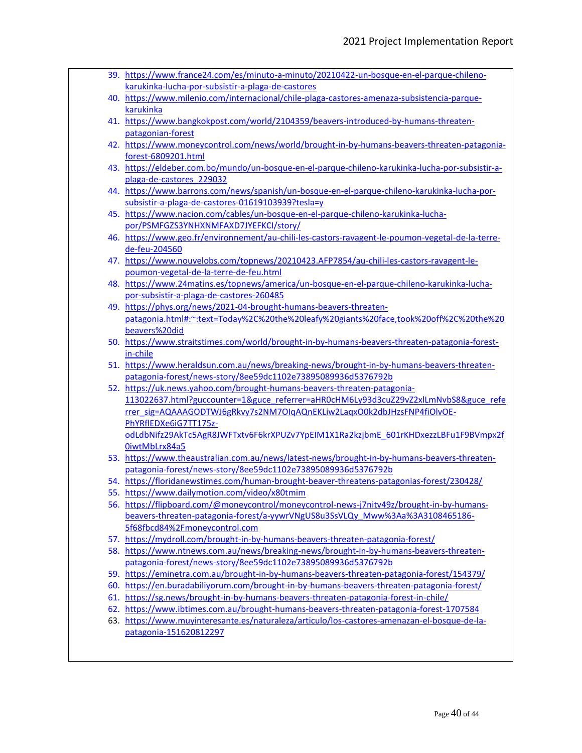39. [https://www.france24.com/es/minuto-a-minuto/20210422-un-bosque-en-el-parque-chileno](https://www.france24.com/es/minuto-a-minuto/20210422-un-bosque-en-el-parque-chileno-karukinka-lucha-por-subsistir-a-plaga-de-castores)[karukinka-lucha-por-subsistir-a-plaga-de-castores](https://www.france24.com/es/minuto-a-minuto/20210422-un-bosque-en-el-parque-chileno-karukinka-lucha-por-subsistir-a-plaga-de-castores) 40. [https://www.milenio.com/internacional/chile-plaga-castores-amenaza-subsistencia-parque](https://www.milenio.com/internacional/chile-plaga-castores-amenaza-subsistencia-parque-karukinka)[karukinka](https://www.milenio.com/internacional/chile-plaga-castores-amenaza-subsistencia-parque-karukinka) 41. [https://www.bangkokpost.com/world/2104359/beavers-introduced-by-humans-threaten](https://www.bangkokpost.com/world/2104359/beavers-introduced-by-humans-threaten-patagonian-forest)[patagonian-forest](https://www.bangkokpost.com/world/2104359/beavers-introduced-by-humans-threaten-patagonian-forest) 42. [https://www.moneycontrol.com/news/world/brought-in-by-humans-beavers-threaten-patagonia](https://www.moneycontrol.com/news/world/brought-in-by-humans-beavers-threaten-patagonia-forest-6809201.html)[forest-6809201.html](https://www.moneycontrol.com/news/world/brought-in-by-humans-beavers-threaten-patagonia-forest-6809201.html) 43. [https://eldeber.com.bo/mundo/un-bosque-en-el-parque-chileno-karukinka-lucha-por-subsistir-a](https://eldeber.com.bo/mundo/un-bosque-en-el-parque-chileno-karukinka-lucha-por-subsistir-a-plaga-de-castores_229032)[plaga-de-castores\\_229032](https://eldeber.com.bo/mundo/un-bosque-en-el-parque-chileno-karukinka-lucha-por-subsistir-a-plaga-de-castores_229032) 44. [https://www.barrons.com/news/spanish/un-bosque-en-el-parque-chileno-karukinka-lucha-por](https://www.barrons.com/news/spanish/un-bosque-en-el-parque-chileno-karukinka-lucha-por-subsistir-a-plaga-de-castores-01619103939?tesla=y)[subsistir-a-plaga-de-castores-01619103939?tesla=y](https://www.barrons.com/news/spanish/un-bosque-en-el-parque-chileno-karukinka-lucha-por-subsistir-a-plaga-de-castores-01619103939?tesla=y) 45. [https://www.nacion.com/cables/un-bosque-en-el-parque-chileno-karukinka-lucha](https://www.nacion.com/cables/un-bosque-en-el-parque-chileno-karukinka-lucha-por/PSMFGZS3YNHXNMFAXD7JYEFKCI/story/)[por/PSMFGZS3YNHXNMFAXD7JYEFKCI/story/](https://www.nacion.com/cables/un-bosque-en-el-parque-chileno-karukinka-lucha-por/PSMFGZS3YNHXNMFAXD7JYEFKCI/story/) 46. [https://www.geo.fr/environnement/au-chili-les-castors-ravagent-le-poumon-vegetal-de-la-terre](https://www.geo.fr/environnement/au-chili-les-castors-ravagent-le-poumon-vegetal-de-la-terre-de-feu-204560)[de-feu-204560](https://www.geo.fr/environnement/au-chili-les-castors-ravagent-le-poumon-vegetal-de-la-terre-de-feu-204560) 47. [https://www.nouvelobs.com/topnews/20210423.AFP7854/au-chili-les-castors-ravagent-le](https://www.nouvelobs.com/topnews/20210423.AFP7854/au-chili-les-castors-ravagent-le-poumon-vegetal-de-la-terre-de-feu.html)[poumon-vegetal-de-la-terre-de-feu.html](https://www.nouvelobs.com/topnews/20210423.AFP7854/au-chili-les-castors-ravagent-le-poumon-vegetal-de-la-terre-de-feu.html) 48. [https://www.24matins.es/topnews/america/un-bosque-en-el-parque-chileno-karukinka-lucha](https://www.24matins.es/topnews/america/un-bosque-en-el-parque-chileno-karukinka-lucha-por-subsistir-a-plaga-de-castores-260485)[por-subsistir-a-plaga-de-castores-260485](https://www.24matins.es/topnews/america/un-bosque-en-el-parque-chileno-karukinka-lucha-por-subsistir-a-plaga-de-castores-260485) 49. [https://phys.org/news/2021-04-brought-humans-beavers-threaten](https://phys.org/news/2021-04-brought-humans-beavers-threaten-patagonia.html#:~:text=Today%2C%20the%20leafy%20giants%20face,took%20off%2C%20the%20beavers%20did)[patagonia.html#:~:text=Today%2C%20the%20leafy%20giants%20face,took%20off%2C%20the%20](https://phys.org/news/2021-04-brought-humans-beavers-threaten-patagonia.html#:~:text=Today%2C%20the%20leafy%20giants%20face,took%20off%2C%20the%20beavers%20did) [beavers%20did](https://phys.org/news/2021-04-brought-humans-beavers-threaten-patagonia.html#:~:text=Today%2C%20the%20leafy%20giants%20face,took%20off%2C%20the%20beavers%20did) 50. [https://www.straitstimes.com/world/brought-in-by-humans-beavers-threaten-patagonia-forest](https://www.straitstimes.com/world/brought-in-by-humans-beavers-threaten-patagonia-forest-in-chile)[in-chile](https://www.straitstimes.com/world/brought-in-by-humans-beavers-threaten-patagonia-forest-in-chile) 51. [https://www.heraldsun.com.au/news/breaking-news/brought-in-by-humans-beavers-threaten](https://www.heraldsun.com.au/news/breaking-news/brought-in-by-humans-beavers-threaten-patagonia-forest/news-story/8ee59dc1102e73895089936d5376792b)[patagonia-forest/news-story/8ee59dc1102e73895089936d5376792b](https://www.heraldsun.com.au/news/breaking-news/brought-in-by-humans-beavers-threaten-patagonia-forest/news-story/8ee59dc1102e73895089936d5376792b) 52. [https://uk.news.yahoo.com/brought-humans-beavers-threaten-patagonia-](https://uk.news.yahoo.com/brought-humans-beavers-threaten-patagonia-113022637.html?guccounter=1&guce_referrer=aHR0cHM6Ly93d3cuZ29vZ2xlLmNvbS8&guce_referrer_sig=AQAAAGODTWJ6gRkvy7s2NM7OIqAQnEKLiw2LaqxO0k2dbJHzsFNP4fiOlvOE-PhYRflEDXe6iG7TT175z-odLdbNifz29AkTc5AgR8JWFTxtv6F6krXPUZv7YpEIM1X1Ra2kzjbmE_601rKHDxezzLBFu1F9BVmpx2f0iwtMbLrx84a5)[113022637.html?guccounter=1&guce\\_referrer=aHR0cHM6Ly93d3cuZ29vZ2xlLmNvbS8&guce\\_refe](https://uk.news.yahoo.com/brought-humans-beavers-threaten-patagonia-113022637.html?guccounter=1&guce_referrer=aHR0cHM6Ly93d3cuZ29vZ2xlLmNvbS8&guce_referrer_sig=AQAAAGODTWJ6gRkvy7s2NM7OIqAQnEKLiw2LaqxO0k2dbJHzsFNP4fiOlvOE-PhYRflEDXe6iG7TT175z-odLdbNifz29AkTc5AgR8JWFTxtv6F6krXPUZv7YpEIM1X1Ra2kzjbmE_601rKHDxezzLBFu1F9BVmpx2f0iwtMbLrx84a5) [rrer\\_sig=AQAAAGODTWJ6gRkvy7s2NM7OIqAQnEKLiw2LaqxO0k2dbJHzsFNP4fiOlvOE-](https://uk.news.yahoo.com/brought-humans-beavers-threaten-patagonia-113022637.html?guccounter=1&guce_referrer=aHR0cHM6Ly93d3cuZ29vZ2xlLmNvbS8&guce_referrer_sig=AQAAAGODTWJ6gRkvy7s2NM7OIqAQnEKLiw2LaqxO0k2dbJHzsFNP4fiOlvOE-PhYRflEDXe6iG7TT175z-odLdbNifz29AkTc5AgR8JWFTxtv6F6krXPUZv7YpEIM1X1Ra2kzjbmE_601rKHDxezzLBFu1F9BVmpx2f0iwtMbLrx84a5)[PhYRflEDXe6iG7TT175z](https://uk.news.yahoo.com/brought-humans-beavers-threaten-patagonia-113022637.html?guccounter=1&guce_referrer=aHR0cHM6Ly93d3cuZ29vZ2xlLmNvbS8&guce_referrer_sig=AQAAAGODTWJ6gRkvy7s2NM7OIqAQnEKLiw2LaqxO0k2dbJHzsFNP4fiOlvOE-PhYRflEDXe6iG7TT175z-odLdbNifz29AkTc5AgR8JWFTxtv6F6krXPUZv7YpEIM1X1Ra2kzjbmE_601rKHDxezzLBFu1F9BVmpx2f0iwtMbLrx84a5)[odLdbNifz29AkTc5AgR8JWFTxtv6F6krXPUZv7YpEIM1X1Ra2kzjbmE\\_601rKHDxezzLBFu1F9BVmpx2f](https://uk.news.yahoo.com/brought-humans-beavers-threaten-patagonia-113022637.html?guccounter=1&guce_referrer=aHR0cHM6Ly93d3cuZ29vZ2xlLmNvbS8&guce_referrer_sig=AQAAAGODTWJ6gRkvy7s2NM7OIqAQnEKLiw2LaqxO0k2dbJHzsFNP4fiOlvOE-PhYRflEDXe6iG7TT175z-odLdbNifz29AkTc5AgR8JWFTxtv6F6krXPUZv7YpEIM1X1Ra2kzjbmE_601rKHDxezzLBFu1F9BVmpx2f0iwtMbLrx84a5) [0iwtMbLrx84a5](https://uk.news.yahoo.com/brought-humans-beavers-threaten-patagonia-113022637.html?guccounter=1&guce_referrer=aHR0cHM6Ly93d3cuZ29vZ2xlLmNvbS8&guce_referrer_sig=AQAAAGODTWJ6gRkvy7s2NM7OIqAQnEKLiw2LaqxO0k2dbJHzsFNP4fiOlvOE-PhYRflEDXe6iG7TT175z-odLdbNifz29AkTc5AgR8JWFTxtv6F6krXPUZv7YpEIM1X1Ra2kzjbmE_601rKHDxezzLBFu1F9BVmpx2f0iwtMbLrx84a5) 53. [https://www.theaustralian.com.au/news/latest-news/brought-in-by-humans-beavers-threaten](https://www.theaustralian.com.au/news/latest-news/brought-in-by-humans-beavers-threaten-patagonia-forest/news-story/8ee59dc1102e73895089936d5376792b)[patagonia-forest/news-story/8ee59dc1102e73895089936d5376792b](https://www.theaustralian.com.au/news/latest-news/brought-in-by-humans-beavers-threaten-patagonia-forest/news-story/8ee59dc1102e73895089936d5376792b) 54. <https://floridanewstimes.com/human-brought-beaver-threatens-patagonias-forest/230428/> 55. <https://www.dailymotion.com/video/x80tmim> 56. [https://flipboard.com/@moneycontrol/moneycontrol-news-j7nitv49z/brought-in-by-humans](https://flipboard.com/@moneycontrol/moneycontrol-news-j7nitv49z/brought-in-by-humans-beavers-threaten-patagonia-forest/a-yywrVNgUS8u3SsVLQy_Mww%3Aa%3A3108465186-5f68fbcd84%2Fmoneycontrol.com)[beavers-threaten-patagonia-forest/a-yywrVNgUS8u3SsVLQy\\_Mww%3Aa%3A3108465186-](https://flipboard.com/@moneycontrol/moneycontrol-news-j7nitv49z/brought-in-by-humans-beavers-threaten-patagonia-forest/a-yywrVNgUS8u3SsVLQy_Mww%3Aa%3A3108465186-5f68fbcd84%2Fmoneycontrol.com) [5f68fbcd84%2Fmoneycontrol.com](https://flipboard.com/@moneycontrol/moneycontrol-news-j7nitv49z/brought-in-by-humans-beavers-threaten-patagonia-forest/a-yywrVNgUS8u3SsVLQy_Mww%3Aa%3A3108465186-5f68fbcd84%2Fmoneycontrol.com) 57. <https://mydroll.com/brought-in-by-humans-beavers-threaten-patagonia-forest/> 58. [https://www.ntnews.com.au/news/breaking-news/brought-in-by-humans-beavers-threaten](https://www.ntnews.com.au/news/breaking-news/brought-in-by-humans-beavers-threaten-patagonia-forest/news-story/8ee59dc1102e73895089936d5376792b)[patagonia-forest/news-story/8ee59dc1102e73895089936d5376792b](https://www.ntnews.com.au/news/breaking-news/brought-in-by-humans-beavers-threaten-patagonia-forest/news-story/8ee59dc1102e73895089936d5376792b) 59. <https://eminetra.com.au/brought-in-by-humans-beavers-threaten-patagonia-forest/154379/> 60. <https://en.buradabiliyorum.com/brought-in-by-humans-beavers-threaten-patagonia-forest/> 61. <https://sg.news/brought-in-by-humans-beavers-threaten-patagonia-forest-in-chile/> 62. <https://www.ibtimes.com.au/brought-humans-beavers-threaten-patagonia-forest-1707584> 63. [https://www.muyinteresante.es/naturaleza/articulo/los-castores-amenazan-el-bosque-de-la](https://www.muyinteresante.es/naturaleza/articulo/los-castores-amenazan-el-bosque-de-la-patagonia-151620812297)[patagonia-151620812297](https://www.muyinteresante.es/naturaleza/articulo/los-castores-amenazan-el-bosque-de-la-patagonia-151620812297)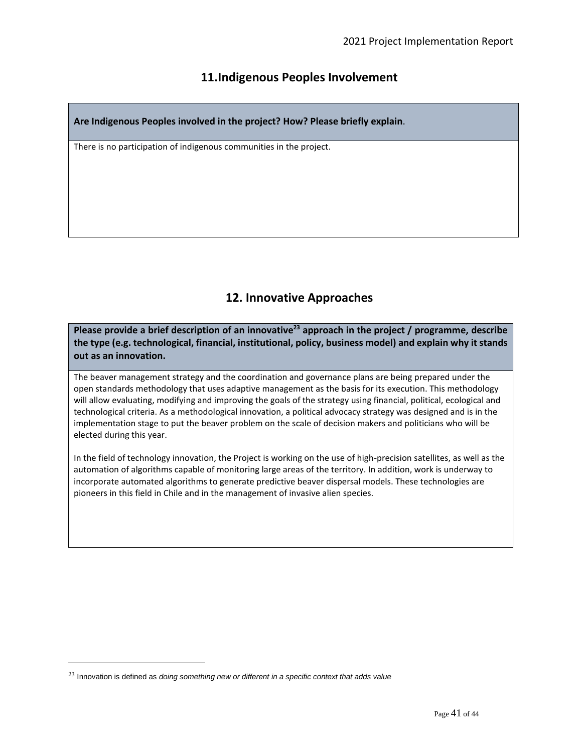# **11.Indigenous Peoples Involvement**

**Are Indigenous Peoples involved in the project? How? Please briefly explain**.

There is no participation of indigenous communities in the project.

# **12. Innovative Approaches**

**Please provide a brief description of an innovative<sup>23</sup> approach in the project / programme, describe the type (e.g. technological, financial, institutional, policy, business model) and explain why it stands out as an innovation.**

The beaver management strategy and the coordination and governance plans are being prepared under the open standards methodology that uses adaptive management as the basis for its execution. This methodology will allow evaluating, modifying and improving the goals of the strategy using financial, political, ecological and technological criteria. As a methodological innovation, a political advocacy strategy was designed and is in the implementation stage to put the beaver problem on the scale of decision makers and politicians who will be elected during this year.

In the field of technology innovation, the Project is working on the use of high-precision satellites, as well as the automation of algorithms capable of monitoring large areas of the territory. In addition, work is underway to incorporate automated algorithms to generate predictive beaver dispersal models. These technologies are pioneers in this field in Chile and in the management of invasive alien species.

<sup>23</sup> Innovation is defined as *doing something new or different in a specific context that adds value*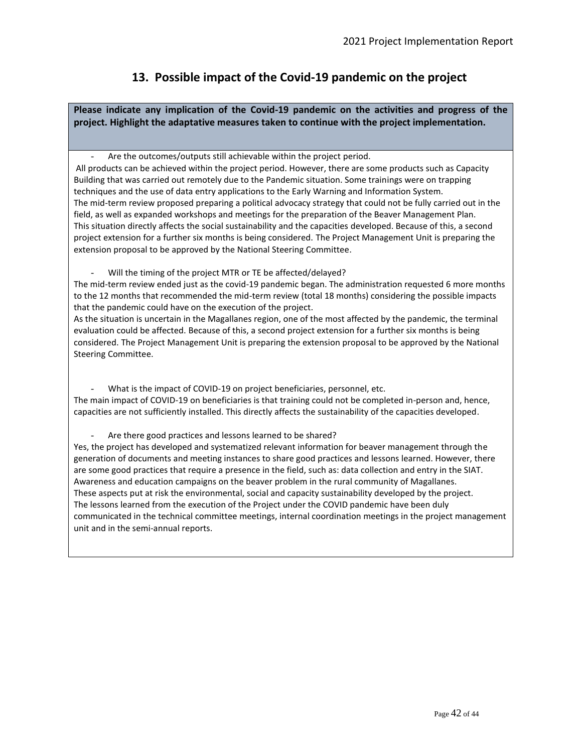# **13. Possible impact of the Covid-19 pandemic on the project**

**Please indicate any implication of the Covid-19 pandemic on the activities and progress of the project. Highlight the adaptative measures taken to continue with the project implementation.**

Are the outcomes/outputs still achievable within the project period.

All products can be achieved within the project period. However, there are some products such as Capacity Building that was carried out remotely due to the Pandemic situation. Some trainings were on trapping techniques and the use of data entry applications to the Early Warning and Information System. The mid-term review proposed preparing a political advocacy strategy that could not be fully carried out in the field, as well as expanded workshops and meetings for the preparation of the Beaver Management Plan. This situation directly affects the social sustainability and the capacities developed. Because of this, a second project extension for a further six months is being considered. The Project Management Unit is preparing the extension proposal to be approved by the National Steering Committee.

Will the timing of the project MTR or TE be affected/delayed?

The mid-term review ended just as the covid-19 pandemic began. The administration requested 6 more months to the 12 months that recommended the mid-term review (total 18 months) considering the possible impacts that the pandemic could have on the execution of the project.

As the situation is uncertain in the Magallanes region, one of the most affected by the pandemic, the terminal evaluation could be affected. Because of this, a second project extension for a further six months is being considered. The Project Management Unit is preparing the extension proposal to be approved by the National Steering Committee.

What is the impact of COVID-19 on project beneficiaries, personnel, etc. The main impact of COVID-19 on beneficiaries is that training could not be completed in-person and, hence, capacities are not sufficiently installed. This directly affects the sustainability of the capacities developed.

Are there good practices and lessons learned to be shared?

Yes, the project has developed and systematized relevant information for beaver management through the generation of documents and meeting instances to share good practices and lessons learned. However, there are some good practices that require a presence in the field, such as: data collection and entry in the SIAT. Awareness and education campaigns on the beaver problem in the rural community of Magallanes. These aspects put at risk the environmental, social and capacity sustainability developed by the project. The lessons learned from the execution of the Project under the COVID pandemic have been duly communicated in the technical committee meetings, internal coordination meetings in the project management unit and in the semi-annual reports.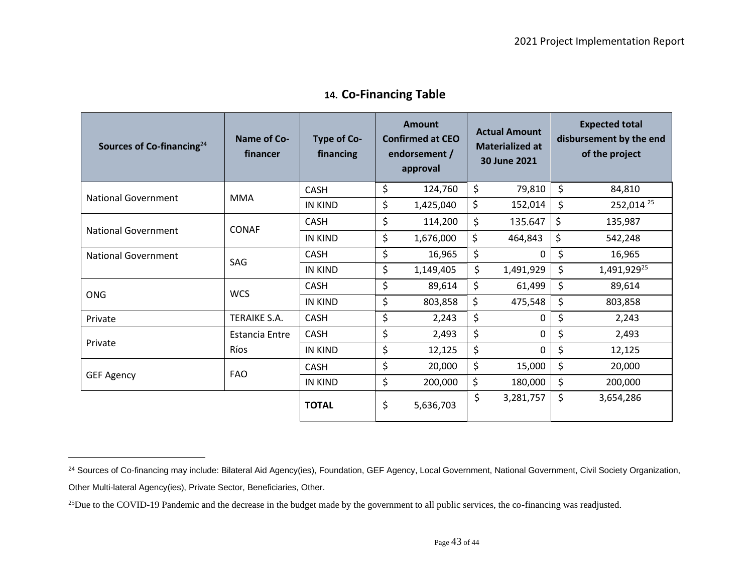| Sources of Co-financing $24$ | Name of Co-<br>financer | Type of Co-<br>financing | Amount<br><b>Confirmed at CEO</b><br>endorsement /<br>approval |           | <b>Actual Amount</b><br><b>Materialized at</b><br>30 June 2021 |           | <b>Expected total</b><br>disbursement by the end<br>of the project |                         |
|------------------------------|-------------------------|--------------------------|----------------------------------------------------------------|-----------|----------------------------------------------------------------|-----------|--------------------------------------------------------------------|-------------------------|
| <b>National Government</b>   | <b>MMA</b>              | <b>CASH</b>              | \$                                                             | 124,760   | \$                                                             | 79,810    | \$                                                                 | 84,810                  |
|                              |                         | IN KIND                  | \$                                                             | 1,425,040 | \$                                                             | 152,014   | \$                                                                 | 252,014 25              |
| National Government          | <b>CONAF</b>            | <b>CASH</b>              | \$                                                             | 114,200   | \$                                                             | 135.647   | \$                                                                 | 135,987                 |
|                              |                         | IN KIND                  | \$                                                             | 1,676,000 | \$                                                             | 464,843   | \$                                                                 | 542,248                 |
| National Government          | SAG                     | <b>CASH</b>              | \$                                                             | 16,965    | \$                                                             | 0         | \$                                                                 | 16,965                  |
|                              |                         | <b>IN KIND</b>           | \$                                                             | 1,149,405 | \$                                                             | 1,491,929 | \$                                                                 | 1,491,929 <sup>25</sup> |
| <b>ONG</b>                   | <b>WCS</b>              | <b>CASH</b>              | \$                                                             | 89,614    | \$                                                             | 61,499    | \$                                                                 | 89,614                  |
|                              |                         | IN KIND                  | \$                                                             | 803,858   | \$                                                             | 475,548   | \$                                                                 | 803,858                 |
| Private                      | TERAIKE S.A.            | <b>CASH</b>              | \$                                                             | 2,243     | \$                                                             | 0         | \$                                                                 | 2,243                   |
| Private                      | Estancia Entre          | <b>CASH</b>              | \$                                                             | 2,493     | \$                                                             | 0         | \$                                                                 | 2,493                   |
|                              | Ríos                    | IN KIND                  | \$                                                             | 12,125    | \$                                                             | 0         | \$                                                                 | 12,125                  |
| <b>GEF Agency</b>            | <b>FAO</b>              | <b>CASH</b>              | \$                                                             | 20,000    | \$                                                             | 15,000    | \$                                                                 | 20,000                  |
|                              |                         | <b>IN KIND</b>           | \$                                                             | 200,000   | \$                                                             | 180,000   | \$                                                                 | 200,000                 |
|                              |                         | <b>TOTAL</b>             | \$                                                             | 5,636,703 | \$                                                             | 3,281,757 | \$                                                                 | 3,654,286               |

# **14. Co-Financing Table**

<sup>&</sup>lt;sup>24</sup> Sources of Co-financing may include: Bilateral Aid Agency(ies), Foundation, GEF Agency, Local Government, National Government, Civil Society Organization, Other Multi-lateral Agency(ies), Private Sector, Beneficiaries, Other.

<sup>&</sup>lt;sup>25</sup>Due to the COVID-19 Pandemic and the decrease in the budget made by the government to all public services, the co-financing was readjusted.